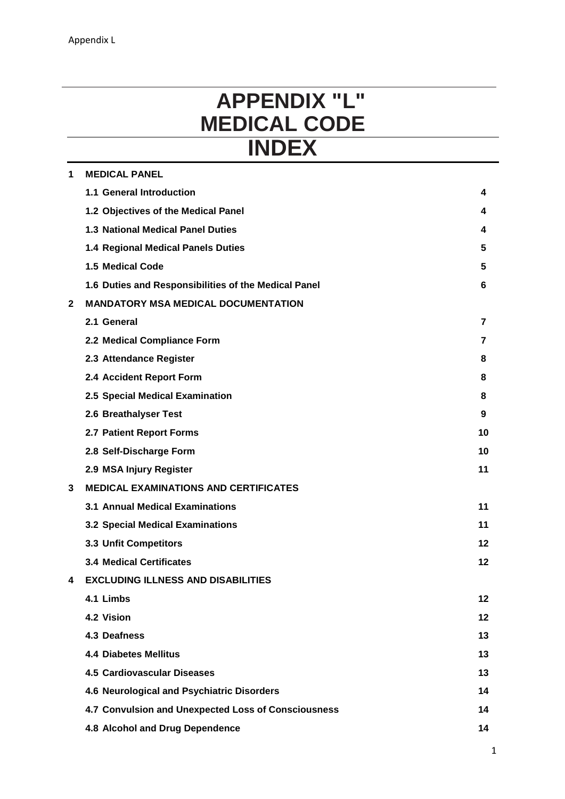# **APPENDIX "L" MEDICAL CODE INDEX**

| 1 | <b>MEDICAL PANEL</b>                                 |                |  |
|---|------------------------------------------------------|----------------|--|
|   | 1.1 General Introduction                             | 4              |  |
|   | 1.2 Objectives of the Medical Panel                  | 4              |  |
|   | <b>1.3 National Medical Panel Duties</b>             | 4              |  |
|   | 1.4 Regional Medical Panels Duties                   | 5              |  |
|   | 1.5 Medical Code                                     | 5              |  |
|   | 1.6 Duties and Responsibilities of the Medical Panel | 6              |  |
| 2 | <b>MANDATORY MSA MEDICAL DOCUMENTATION</b>           |                |  |
|   | 2.1 General                                          | $\overline{7}$ |  |
|   | 2.2 Medical Compliance Form                          | 7              |  |
|   | 2.3 Attendance Register                              | 8              |  |
|   | 2.4 Accident Report Form                             | 8              |  |
|   | 2.5 Special Medical Examination                      | 8              |  |
|   | 2.6 Breathalyser Test                                | 9              |  |
|   | 2.7 Patient Report Forms                             | 10             |  |
|   | 2.8 Self-Discharge Form                              | 10             |  |
|   | 2.9 MSA Injury Register                              | 11             |  |
| 3 | <b>MEDICAL EXAMINATIONS AND CERTIFICATES</b>         |                |  |
|   | <b>3.1 Annual Medical Examinations</b>               | 11             |  |
|   | 3.2 Special Medical Examinations                     | 11             |  |
|   | 3.3 Unfit Competitors                                | $12 \,$        |  |
|   | <b>3.4 Medical Certificates</b>                      | 12             |  |
| 4 | <b>EXCLUDING ILLNESS AND DISABILITIES</b>            |                |  |
|   | 4.1 Limbs                                            | 12             |  |
|   | 4.2 Vision                                           | 12             |  |
|   | 4.3 Deafness                                         | 13             |  |
|   | <b>4.4 Diabetes Mellitus</b>                         | 13             |  |
|   | <b>4.5 Cardiovascular Diseases</b>                   | 13             |  |
|   | 4.6 Neurological and Psychiatric Disorders           | 14             |  |
|   | 4.7 Convulsion and Unexpected Loss of Consciousness  | 14             |  |
|   | 4.8 Alcohol and Drug Dependence                      | 14             |  |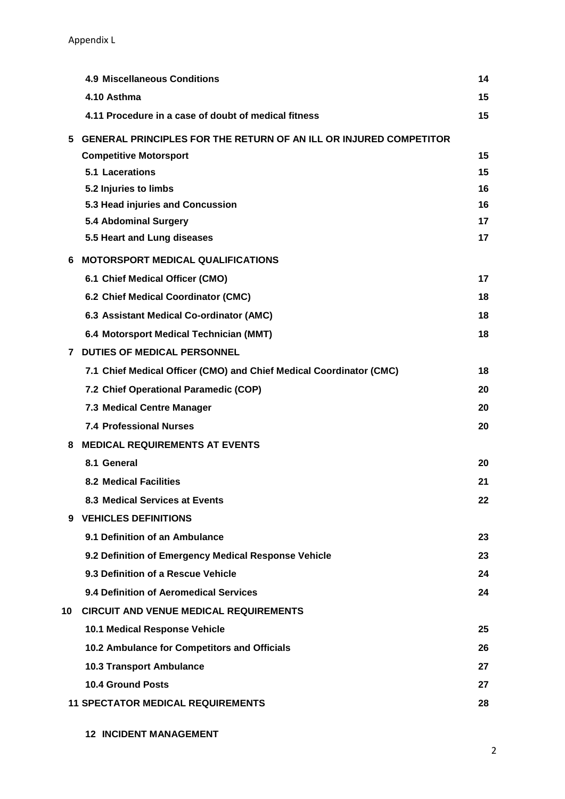Appendix L Appendix L

|    | <b>4.9 Miscellaneous Conditions</b>                                                                       | 14 |
|----|-----------------------------------------------------------------------------------------------------------|----|
|    | 4.10 Asthma                                                                                               | 15 |
|    | 4.11 Procedure in a case of doubt of medical fitness                                                      | 15 |
|    |                                                                                                           |    |
| 5. | <b>GENERAL PRINCIPLES FOR THE RETURN OF AN ILL OR INJURED COMPETITOR</b><br><b>Competitive Motorsport</b> | 15 |
|    | 5.1 Lacerations                                                                                           | 15 |
|    | 5.2 Injuries to limbs                                                                                     | 16 |
|    | 5.3 Head injuries and Concussion                                                                          | 16 |
|    | 5.4 Abdominal Surgery                                                                                     | 17 |
|    | 5.5 Heart and Lung diseases                                                                               | 17 |
| 6  | <b>MOTORSPORT MEDICAL QUALIFICATIONS</b>                                                                  |    |
|    | 6.1 Chief Medical Officer (CMO)                                                                           | 17 |
|    | 6.2 Chief Medical Coordinator (CMC)                                                                       | 18 |
|    | 6.3 Assistant Medical Co-ordinator (AMC)                                                                  | 18 |
|    | 6.4 Motorsport Medical Technician (MMT)                                                                   | 18 |
| 7  | <b>DUTIES OF MEDICAL PERSONNEL</b>                                                                        |    |
|    | 7.1 Chief Medical Officer (CMO) and Chief Medical Coordinator (CMC)                                       | 18 |
|    | 7.2 Chief Operational Paramedic (COP)                                                                     | 20 |
|    | 7.3 Medical Centre Manager                                                                                | 20 |
|    | <b>7.4 Professional Nurses</b>                                                                            | 20 |
| 8  | <b>MEDICAL REQUIREMENTS AT EVENTS</b>                                                                     |    |
|    | 8.1 General                                                                                               | 20 |
|    | <b>8.2 Medical Facilities</b>                                                                             | 21 |
|    | 8.3 Medical Services at Events                                                                            | 22 |
|    | 9 VEHICLES DEFINITIONS                                                                                    |    |
|    | 9.1 Definition of an Ambulance                                                                            | 23 |
|    | 9.2 Definition of Emergency Medical Response Vehicle                                                      | 23 |
|    | 9.3 Definition of a Rescue Vehicle                                                                        | 24 |
|    | 9.4 Definition of Aeromedical Services                                                                    | 24 |
| 10 | <b>CIRCUIT AND VENUE MEDICAL REQUIREMENTS</b>                                                             |    |
|    | 10.1 Medical Response Vehicle                                                                             | 25 |
|    | 10.2 Ambulance for Competitors and Officials                                                              | 26 |
|    | <b>10.3 Transport Ambulance</b>                                                                           | 27 |
|    | <b>10.4 Ground Posts</b>                                                                                  | 27 |
|    | <b>11 SPECTATOR MEDICAL REQUIREMENTS</b>                                                                  | 28 |
|    |                                                                                                           |    |

**12 INCIDENT MANAGEMENT**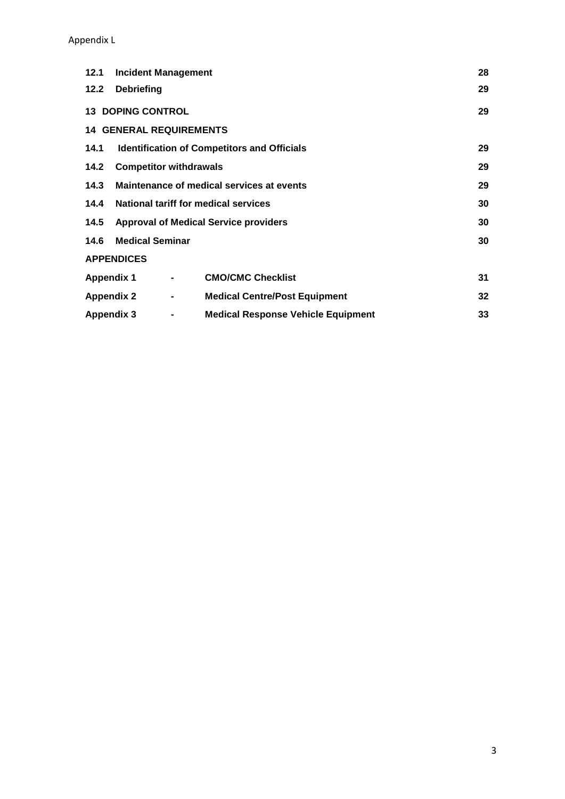#### Appendix L Appendix L

| 12.1                                                 | <b>Incident Management</b>                         |                |                                           | 28 |  |  |  |
|------------------------------------------------------|----------------------------------------------------|----------------|-------------------------------------------|----|--|--|--|
| 12.2                                                 | <b>Debriefing</b>                                  |                |                                           | 29 |  |  |  |
|                                                      | <b>13 DOPING CONTROL</b><br>29                     |                |                                           |    |  |  |  |
| <b>14 GENERAL REQUIREMENTS</b>                       |                                                    |                |                                           |    |  |  |  |
| 14.1                                                 | <b>Identification of Competitors and Officials</b> |                |                                           |    |  |  |  |
| <b>Competitor withdrawals</b><br>14.2                |                                                    |                |                                           | 29 |  |  |  |
| Maintenance of medical services at events<br>14.3    |                                                    |                |                                           | 29 |  |  |  |
| National tariff for medical services<br>14.4         |                                                    |                |                                           | 30 |  |  |  |
| <b>Approval of Medical Service providers</b><br>14.5 |                                                    |                | 30                                        |    |  |  |  |
| <b>Medical Seminar</b><br>14.6                       |                                                    | 30             |                                           |    |  |  |  |
|                                                      | <b>APPENDICES</b>                                  |                |                                           |    |  |  |  |
| <b>Appendix 1</b>                                    |                                                    | $\blacksquare$ | <b>CMO/CMC Checklist</b>                  | 31 |  |  |  |
| <b>Appendix 2</b>                                    |                                                    | $\blacksquare$ | <b>Medical Centre/Post Equipment</b>      | 32 |  |  |  |
| Appendix 3                                           |                                                    | $\blacksquare$ | <b>Medical Response Vehicle Equipment</b> | 33 |  |  |  |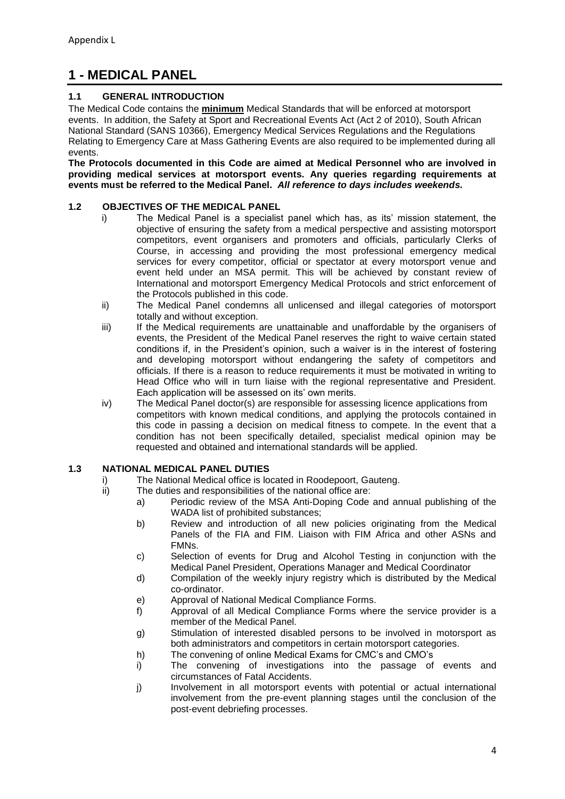# **1 - MEDICAL PANEL**

#### **1.1 GENERAL INTRODUCTION**

The Medical Code contains the **minimum** Medical Standards that will be enforced at motorsport events. In addition, the Safety at Sport and Recreational Events Act (Act 2 of 2010), South African National Standard (SANS 10366), Emergency Medical Services Regulations and the Regulations Relating to Emergency Care at Mass Gathering Events are also required to be implemented during all events.

**The Protocols documented in this Code are aimed at Medical Personnel who are involved in providing medical services at motorsport events. Any queries regarding requirements at events must be referred to the Medical Panel.** *All reference to days includes weekends.*

#### **1.2 OBJECTIVES OF THE MEDICAL PANEL**

- i) The Medical Panel is a specialist panel which has, as its' mission statement, the objective of ensuring the safety from a medical perspective and assisting motorsport competitors, event organisers and promoters and officials, particularly Clerks of Course, in accessing and providing the most professional emergency medical services for every competitor, official or spectator at every motorsport venue and event held under an MSA permit. This will be achieved by constant review of International and motorsport Emergency Medical Protocols and strict enforcement of the Protocols published in this code.
- ii) The Medical Panel condemns all unlicensed and illegal categories of motorsport totally and without exception.
- iii) If the Medical requirements are unattainable and unaffordable by the organisers of events, the President of the Medical Panel reserves the right to waive certain stated conditions if, in the President's opinion, such a waiver is in the interest of fostering and developing motorsport without endangering the safety of competitors and officials. If there is a reason to reduce requirements it must be motivated in writing to Head Office who will in turn liaise with the regional representative and President. Each application will be assessed on its' own merits.
- iv) The Medical Panel doctor(s) are responsible for assessing licence applications from competitors with known medical conditions, and applying the protocols contained in this code in passing a decision on medical fitness to compete. In the event that a condition has not been specifically detailed, specialist medical opinion may be requested and obtained and international standards will be applied.

#### **1.3 NATIONAL MEDICAL PANEL DUTIES**

- i) The National Medical office is located in Roodepoort, Gauteng.
- ii) The duties and responsibilities of the national office are:
	- a) Periodic review of the MSA Anti-Doping Code and annual publishing of the WADA list of prohibited substances;
	- b) Review and introduction of all new policies originating from the Medical Panels of the FIA and FIM. Liaison with FIM Africa and other ASNs and FMNs.
	- c) Selection of events for Drug and Alcohol Testing in conjunction with the Medical Panel President, Operations Manager and Medical Coordinator
	- d) Compilation of the weekly injury registry which is distributed by the Medical co-ordinator.
	- e) Approval of National Medical Compliance Forms.
	- f) Approval of all Medical Compliance Forms where the service provider is a member of the Medical Panel.
	- g) Stimulation of interested disabled persons to be involved in motorsport as both administrators and competitors in certain motorsport categories.
	- h) The convening of online Medical Exams for CMC's and CMO's
	- i) The convening of investigations into the passage of events and circumstances of Fatal Accidents.
	- j) Involvement in all motorsport events with potential or actual international involvement from the pre-event planning stages until the conclusion of the post-event debriefing processes.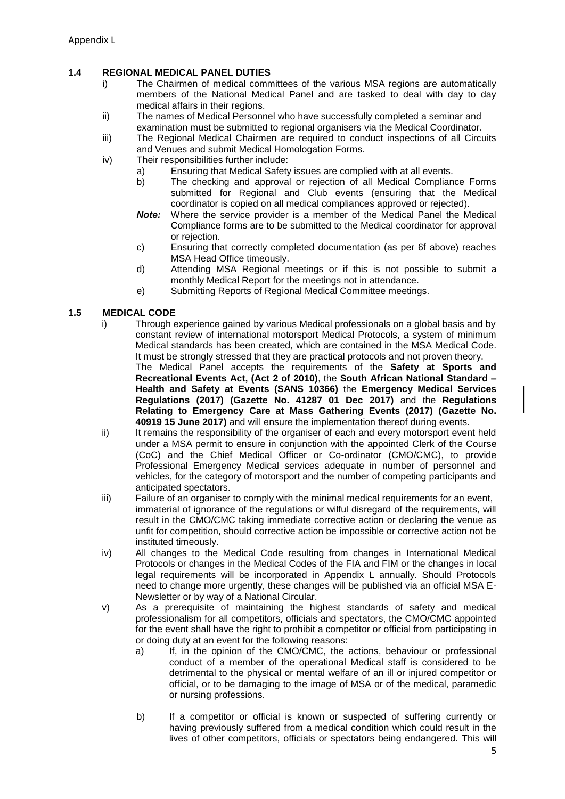#### **1.4 REGIONAL MEDICAL PANEL DUTIES**

- i) The Chairmen of medical committees of the various MSA regions are automatically members of the National Medical Panel and are tasked to deal with day to day medical affairs in their regions.
- ii) The names of Medical Personnel who have successfully completed a seminar and examination must be submitted to regional organisers via the Medical Coordinator.
- iii) The Regional Medical Chairmen are required to conduct inspections of all Circuits and Venues and submit Medical Homologation Forms.
- iv) Their responsibilities further include:
	- a) Ensuring that Medical Safety issues are complied with at all events.
	- b) The checking and approval or rejection of all Medical Compliance Forms submitted for Regional and Club events (ensuring that the Medical coordinator is copied on all medical compliances approved or rejected).
	- *Note:* Where the service provider is a member of the Medical Panel the Medical Compliance forms are to be submitted to the Medical coordinator for approval or rejection.
	- c) Ensuring that correctly completed documentation (as per 6f above) reaches MSA Head Office timeously.
	- d) Attending MSA Regional meetings or if this is not possible to submit a monthly Medical Report for the meetings not in attendance.
	- e) Submitting Reports of Regional Medical Committee meetings.

#### **1.5 MEDICAL CODE**

i) Through experience gained by various Medical professionals on a global basis and by constant review of international motorsport Medical Protocols, a system of minimum Medical standards has been created, which are contained in the MSA Medical Code. It must be strongly stressed that they are practical protocols and not proven theory. The Medical Panel accepts the requirements of the **Safety at Sports and Recreational Events Act, (Act 2 of 2010)**, the **South African National Standard – Health and Safety at Events (SANS 10366)** the **Emergency Medical Services Regulations (2017) (Gazette No. 41287 01 Dec 2017)** and the **Regulations** 

**Relating to Emergency Care at Mass Gathering Events (2017) (Gazette No. 40919 15 June 2017)** and will ensure the implementation thereof during events.

- ii) It remains the responsibility of the organiser of each and every motorsport event held under a MSA permit to ensure in conjunction with the appointed Clerk of the Course (CoC) and the Chief Medical Officer or Co-ordinator (CMO/CMC), to provide Professional Emergency Medical services adequate in number of personnel and vehicles, for the category of motorsport and the number of competing participants and anticipated spectators.
- iii) Failure of an organiser to comply with the minimal medical requirements for an event, immaterial of ignorance of the regulations or wilful disregard of the requirements, will result in the CMO/CMC taking immediate corrective action or declaring the venue as unfit for competition, should corrective action be impossible or corrective action not be instituted timeously.
- iv) All changes to the Medical Code resulting from changes in International Medical Protocols or changes in the Medical Codes of the FIA and FIM or the changes in local legal requirements will be incorporated in Appendix L annually. Should Protocols need to change more urgently, these changes will be published via an official MSA E-Newsletter or by way of a National Circular.
- v) As a prerequisite of maintaining the highest standards of safety and medical professionalism for all competitors, officials and spectators, the CMO/CMC appointed for the event shall have the right to prohibit a competitor or official from participating in or doing duty at an event for the following reasons:
	- a) If, in the opinion of the CMO/CMC, the actions, behaviour or professional conduct of a member of the operational Medical staff is considered to be detrimental to the physical or mental welfare of an ill or injured competitor or official, or to be damaging to the image of MSA or of the medical, paramedic or nursing professions.
	- b) If a competitor or official is known or suspected of suffering currently or having previously suffered from a medical condition which could result in the lives of other competitors, officials or spectators being endangered. This will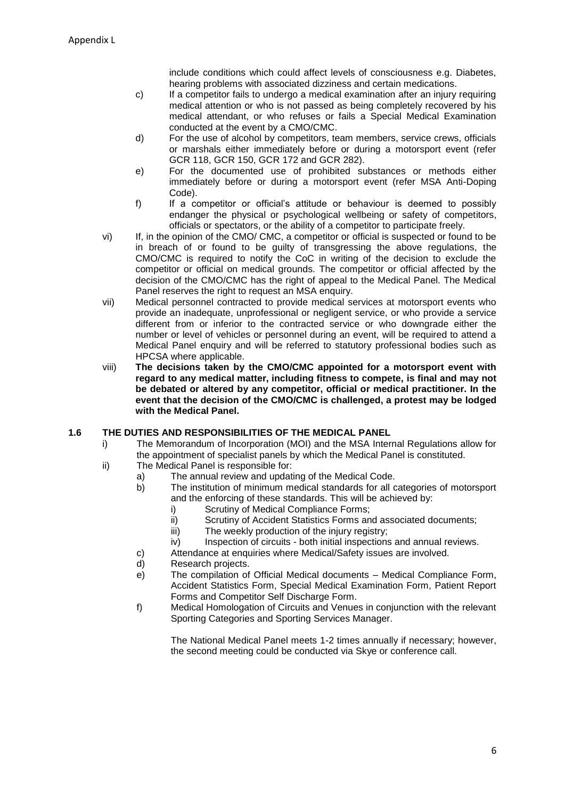include conditions which could affect levels of consciousness e.g. Diabetes, hearing problems with associated dizziness and certain medications.

- c) If a competitor fails to undergo a medical examination after an injury requiring medical attention or who is not passed as being completely recovered by his medical attendant, or who refuses or fails a Special Medical Examination conducted at the event by a CMO/CMC.
- d) For the use of alcohol by competitors, team members, service crews, officials or marshals either immediately before or during a motorsport event (refer GCR 118, GCR 150, GCR 172 and GCR 282).
- e) For the documented use of prohibited substances or methods either immediately before or during a motorsport event (refer MSA Anti-Doping Code).
- f) If a competitor or official's attitude or behaviour is deemed to possibly endanger the physical or psychological wellbeing or safety of competitors, officials or spectators, or the ability of a competitor to participate freely.
- vi) If, in the opinion of the CMO/ CMC, a competitor or official is suspected or found to be in breach of or found to be guilty of transgressing the above regulations, the CMO/CMC is required to notify the CoC in writing of the decision to exclude the competitor or official on medical grounds. The competitor or official affected by the decision of the CMO/CMC has the right of appeal to the Medical Panel. The Medical Panel reserves the right to request an MSA enquiry.
- vii) Medical personnel contracted to provide medical services at motorsport events who provide an inadequate, unprofessional or negligent service, or who provide a service different from or inferior to the contracted service or who downgrade either the number or level of vehicles or personnel during an event, will be required to attend a Medical Panel enquiry and will be referred to statutory professional bodies such as HPCSA where applicable.
- viii) **The decisions taken by the CMO/CMC appointed for a motorsport event with regard to any medical matter, including fitness to compete, is final and may not be debated or altered by any competitor, official or medical practitioner. In the event that the decision of the CMO/CMC is challenged, a protest may be lodged with the Medical Panel.**

#### **1.6 THE DUTIES AND RESPONSIBILITIES OF THE MEDICAL PANEL**

- i) The Memorandum of Incorporation (MOI) and the MSA Internal Regulations allow for the appointment of specialist panels by which the Medical Panel is constituted.
- ii) The Medical Panel is responsible for:
	- a) The annual review and updating of the Medical Code.
	- b) The institution of minimum medical standards for all categories of motorsport and the enforcing of these standards. This will be achieved by:
		- i) Scrutiny of Medical Compliance Forms;
		- ii) Scrutiny of Accident Statistics Forms and associated documents;
		- iii) The weekly production of the injury registry;
		- iv) Inspection of circuits both initial inspections and annual reviews.
	- c) Attendance at enquiries where Medical/Safety issues are involved.
	- d) Research projects.
	- e) The compilation of Official Medical documents Medical Compliance Form, Accident Statistics Form, Special Medical Examination Form, Patient Report Forms and Competitor Self Discharge Form.
	- f) Medical Homologation of Circuits and Venues in conjunction with the relevant Sporting Categories and Sporting Services Manager.

The National Medical Panel meets 1-2 times annually if necessary; however, the second meeting could be conducted via Skye or conference call.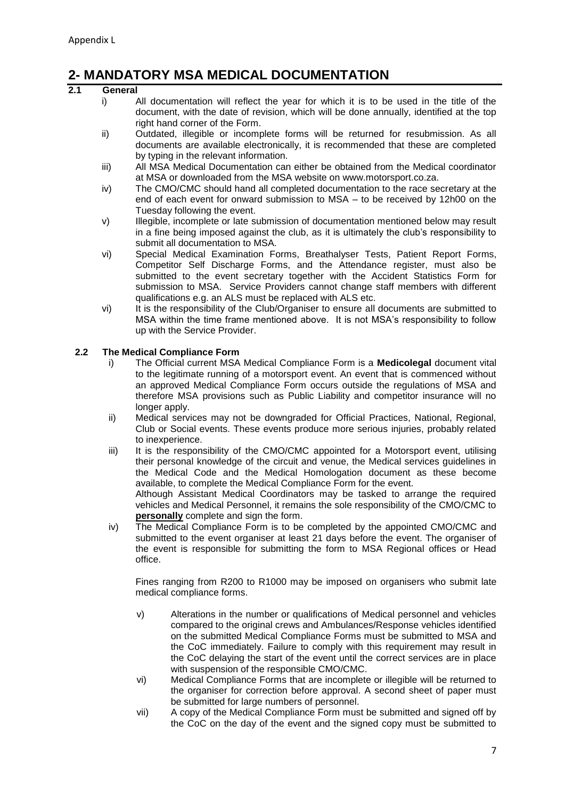# **2- MANDATORY MSA MEDICAL DOCUMENTATION**

#### **2.1 General**

- i) All documentation will reflect the year for which it is to be used in the title of the document, with the date of revision, which will be done annually, identified at the top right hand corner of the Form.
- ii) Outdated, illegible or incomplete forms will be returned for resubmission. As all documents are available electronically, it is recommended that these are completed by typing in the relevant information.
- iii) All MSA Medical Documentation can either be obtained from the Medical coordinator at MSA or downloaded from the MSA website on www.motorsport.co.za.
- iv) The CMO/CMC should hand all completed documentation to the race secretary at the end of each event for onward submission to MSA – to be received by 12h00 on the Tuesday following the event.
- v) Illegible, incomplete or late submission of documentation mentioned below may result in a fine being imposed against the club, as it is ultimately the club's responsibility to submit all documentation to MSA.
- vi) Special Medical Examination Forms, Breathalyser Tests, Patient Report Forms, Competitor Self Discharge Forms, and the Attendance register, must also be submitted to the event secretary together with the Accident Statistics Form for submission to MSA. Service Providers cannot change staff members with different qualifications e.g. an ALS must be replaced with ALS etc.
- vi) It is the responsibility of the Club/Organiser to ensure all documents are submitted to MSA within the time frame mentioned above. It is not MSA's responsibility to follow up with the Service Provider.

#### **2.2 The Medical Compliance Form**

- i) The Official current MSA Medical Compliance Form is a **Medicolegal** document vital to the legitimate running of a motorsport event. An event that is commenced without an approved Medical Compliance Form occurs outside the regulations of MSA and therefore MSA provisions such as Public Liability and competitor insurance will no longer apply.
- ii) Medical services may not be downgraded for Official Practices, National, Regional, Club or Social events. These events produce more serious injuries, probably related to inexperience.
- iii) It is the responsibility of the CMO/CMC appointed for a Motorsport event, utilising their personal knowledge of the circuit and venue, the Medical services guidelines in the Medical Code and the Medical Homologation document as these become available, to complete the Medical Compliance Form for the event. Although Assistant Medical Coordinators may be tasked to arrange the required

vehicles and Medical Personnel, it remains the sole responsibility of the CMO/CMC to **personally** complete and sign the form.

iv) The Medical Compliance Form is to be completed by the appointed CMO/CMC and submitted to the event organiser at least 21 days before the event. The organiser of the event is responsible for submitting the form to MSA Regional offices or Head office.

Fines ranging from R200 to R1000 may be imposed on organisers who submit late medical compliance forms.

- v) Alterations in the number or qualifications of Medical personnel and vehicles compared to the original crews and Ambulances/Response vehicles identified on the submitted Medical Compliance Forms must be submitted to MSA and the CoC immediately. Failure to comply with this requirement may result in the CoC delaying the start of the event until the correct services are in place with suspension of the responsible CMO/CMC.
- vi) Medical Compliance Forms that are incomplete or illegible will be returned to the organiser for correction before approval. A second sheet of paper must be submitted for large numbers of personnel.
- vii) A copy of the Medical Compliance Form must be submitted and signed off by the CoC on the day of the event and the signed copy must be submitted to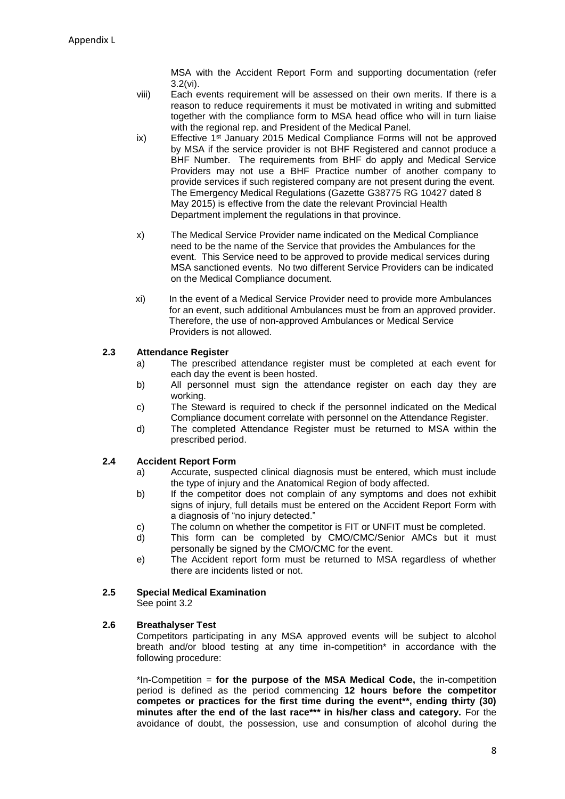MSA with the Accident Report Form and supporting documentation (refer 3.2(vi).

- viii) Each events requirement will be assessed on their own merits. If there is a reason to reduce requirements it must be motivated in writing and submitted together with the compliance form to MSA head office who will in turn liaise with the regional rep. and President of the Medical Panel.
- ix) Effective  $1^{st}$  January 2015 Medical Compliance Forms will not be approved by MSA if the service provider is not BHF Registered and cannot produce a BHF Number. The requirements from BHF do apply and Medical Service Providers may not use a BHF Practice number of another company to provide services if such registered company are not present during the event. The Emergency Medical Regulations (Gazette G38775 RG 10427 dated 8 May 2015) is effective from the date the relevant Provincial Health Department implement the regulations in that province.
- x) The Medical Service Provider name indicated on the Medical Compliance need to be the name of the Service that provides the Ambulances for the event. This Service need to be approved to provide medical services during MSA sanctioned events. No two different Service Providers can be indicated on the Medical Compliance document.
- xi) In the event of a Medical Service Provider need to provide more Ambulances for an event, such additional Ambulances must be from an approved provider. Therefore, the use of non-approved Ambulances or Medical Service Providers is not allowed.

#### **2.3 Attendance Register**

- a) The prescribed attendance register must be completed at each event for each day the event is been hosted.
- b) All personnel must sign the attendance register on each day they are working.
- c) The Steward is required to check if the personnel indicated on the Medical Compliance document correlate with personnel on the Attendance Register.
- d) The completed Attendance Register must be returned to MSA within the prescribed period.

#### **2.4 Accident Report Form**

- a) Accurate, suspected clinical diagnosis must be entered, which must include the type of injury and the Anatomical Region of body affected.
- b) If the competitor does not complain of any symptoms and does not exhibit signs of injury, full details must be entered on the Accident Report Form with a diagnosis of "no injury detected."
- c) The column on whether the competitor is FIT or UNFIT must be completed.
- d) This form can be completed by CMO/CMC/Senior AMCs but it must personally be signed by the CMO/CMC for the event.
- e) The Accident report form must be returned to MSA regardless of whether there are incidents listed or not.

#### **2.5 Special Medical Examination**

See point 3.2

#### **2.6 Breathalyser Test**

Competitors participating in any MSA approved events will be subject to alcohol breath and/or blood testing at any time in-competition\* in accordance with the following procedure:

\*In-Competition = **for the purpose of the MSA Medical Code,** the in-competition period is defined as the period commencing **12 hours before the competitor competes or practices for the first time during the event\*\*, ending thirty (30) minutes after the end of the last race\*\*\* in his/her class and category.** For the avoidance of doubt, the possession, use and consumption of alcohol during the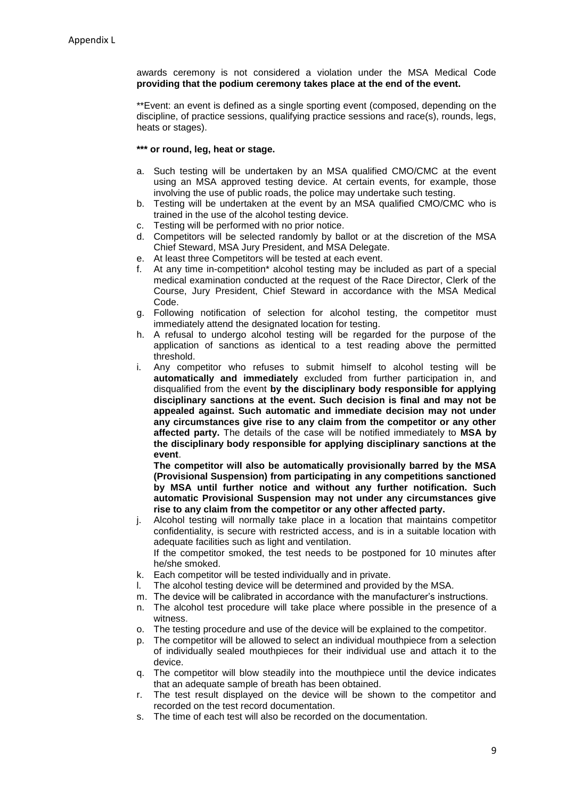awards ceremony is not considered a violation under the MSA Medical Code **providing that the podium ceremony takes place at the end of the event.**

\*\*Event: an event is defined as a single sporting event (composed, depending on the discipline, of practice sessions, qualifying practice sessions and race(s), rounds, legs, heats or stages).

#### **\*\*\* or round, leg, heat or stage.**

- a. Such testing will be undertaken by an MSA qualified CMO/CMC at the event using an MSA approved testing device. At certain events, for example, those involving the use of public roads, the police may undertake such testing.
- b. Testing will be undertaken at the event by an MSA qualified CMO/CMC who is trained in the use of the alcohol testing device.
- c. Testing will be performed with no prior notice.
- d. Competitors will be selected randomly by ballot or at the discretion of the MSA Chief Steward, MSA Jury President, and MSA Delegate.
- e. At least three Competitors will be tested at each event.
- At any time in-competition\* alcohol testing may be included as part of a special medical examination conducted at the request of the Race Director, Clerk of the Course, Jury President, Chief Steward in accordance with the MSA Medical Code.
- g. Following notification of selection for alcohol testing, the competitor must immediately attend the designated location for testing.
- h. A refusal to undergo alcohol testing will be regarded for the purpose of the application of sanctions as identical to a test reading above the permitted threshold.
- i. Any competitor who refuses to submit himself to alcohol testing will be **automatically and immediately** excluded from further participation in, and disqualified from the event **by the disciplinary body responsible for applying disciplinary sanctions at the event. Such decision is final and may not be appealed against. Such automatic and immediate decision may not under any circumstances give rise to any claim from the competitor or any other affected party.** The details of the case will be notified immediately to **MSA by the disciplinary body responsible for applying disciplinary sanctions at the event**.

**The competitor will also be automatically provisionally barred by the MSA (Provisional Suspension) from participating in any competitions sanctioned by MSA until further notice and without any further notification. Such automatic Provisional Suspension may not under any circumstances give rise to any claim from the competitor or any other affected party.**

- j. Alcohol testing will normally take place in a location that maintains competitor confidentiality, is secure with restricted access, and is in a suitable location with adequate facilities such as light and ventilation. If the competitor smoked, the test needs to be postponed for 10 minutes after
- he/she smoked. k. Each competitor will be tested individually and in private.
- The alcohol testing device will be determined and provided by the MSA.
- m. The device will be calibrated in accordance with the manufacturer's instructions.
- n. The alcohol test procedure will take place where possible in the presence of a witness.
- o. The testing procedure and use of the device will be explained to the competitor.
- p. The competitor will be allowed to select an individual mouthpiece from a selection of individually sealed mouthpieces for their individual use and attach it to the device.
- q. The competitor will blow steadily into the mouthpiece until the device indicates that an adequate sample of breath has been obtained.
- r. The test result displayed on the device will be shown to the competitor and recorded on the test record documentation.
- s. The time of each test will also be recorded on the documentation.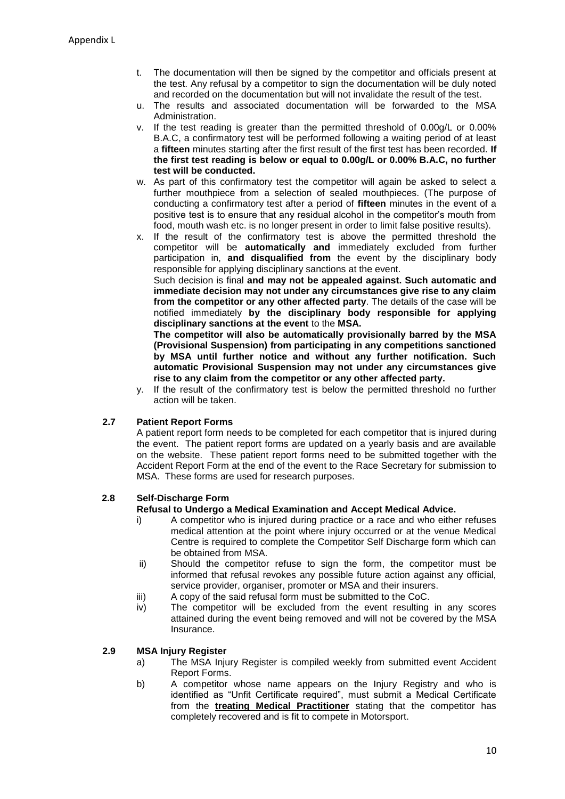- t. The documentation will then be signed by the competitor and officials present at the test. Any refusal by a competitor to sign the documentation will be duly noted and recorded on the documentation but will not invalidate the result of the test.
- u. The results and associated documentation will be forwarded to the MSA Administration.
- v. If the test reading is greater than the permitted threshold of 0.00g/L or 0.00% B.A.C, a confirmatory test will be performed following a waiting period of at least a **fifteen** minutes starting after the first result of the first test has been recorded. **If the first test reading is below or equal to 0.00g/L or 0.00% B.A.C, no further test will be conducted.**
- w. As part of this confirmatory test the competitor will again be asked to select a further mouthpiece from a selection of sealed mouthpieces. (The purpose of conducting a confirmatory test after a period of **fifteen** minutes in the event of a positive test is to ensure that any residual alcohol in the competitor's mouth from food, mouth wash etc. is no longer present in order to limit false positive results).
- x. If the result of the confirmatory test is above the permitted threshold the competitor will be **automatically and** immediately excluded from further participation in, **and disqualified from** the event by the disciplinary body responsible for applying disciplinary sanctions at the event.

Such decision is final **and may not be appealed against. Such automatic and immediate decision may not under any circumstances give rise to any claim from the competitor or any other affected party**. The details of the case will be notified immediately **by the disciplinary body responsible for applying disciplinary sanctions at the event** to the **MSA.**

**The competitor will also be automatically provisionally barred by the MSA (Provisional Suspension) from participating in any competitions sanctioned by MSA until further notice and without any further notification. Such automatic Provisional Suspension may not under any circumstances give rise to any claim from the competitor or any other affected party.**

y. If the result of the confirmatory test is below the permitted threshold no further action will be taken.

#### **2.7 Patient Report Forms**

A patient report form needs to be completed for each competitor that is injured during the event. The patient report forms are updated on a yearly basis and are available on the website. These patient report forms need to be submitted together with the Accident Report Form at the end of the event to the Race Secretary for submission to MSA. These forms are used for research purposes.

#### **2.8 Self-Discharge Form**

#### **Refusal to Undergo a Medical Examination and Accept Medical Advice.**

- i) A competitor who is injured during practice or a race and who either refuses medical attention at the point where injury occurred or at the venue Medical Centre is required to complete the Competitor Self Discharge form which can be obtained from MSA.
- ii) Should the competitor refuse to sign the form, the competitor must be informed that refusal revokes any possible future action against any official, service provider, organiser, promoter or MSA and their insurers.
- iii) A copy of the said refusal form must be submitted to the CoC.
- iv) The competitor will be excluded from the event resulting in any scores attained during the event being removed and will not be covered by the MSA Insurance.

#### **2.9 MSA Injury Register**

- a) The MSA Injury Register is compiled weekly from submitted event Accident Report Forms.
- b) A competitor whose name appears on the Injury Registry and who is identified as "Unfit Certificate required", must submit a Medical Certificate from the **treating Medical Practitioner** stating that the competitor has completely recovered and is fit to compete in Motorsport.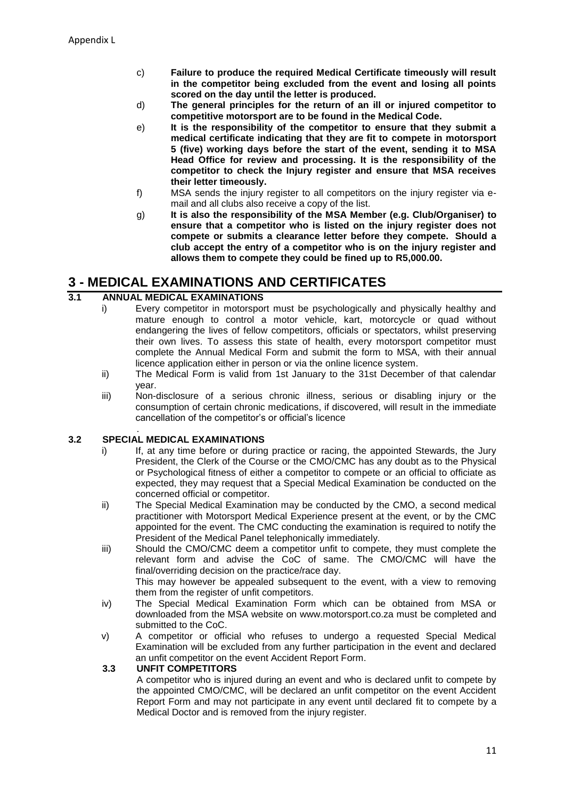- c) **Failure to produce the required Medical Certificate timeously will result in the competitor being excluded from the event and losing all points scored on the day until the letter is produced.**
- d) **The general principles for the return of an ill or injured competitor to competitive motorsport are to be found in the Medical Code.**
- e) **It is the responsibility of the competitor to ensure that they submit a medical certificate indicating that they are fit to compete in motorsport 5 (five) working days before the start of the event, sending it to MSA Head Office for review and processing. It is the responsibility of the competitor to check the Injury register and ensure that MSA receives their letter timeously.**
- f) MSA sends the injury register to all competitors on the injury register via email and all clubs also receive a copy of the list.
- g) **It is also the responsibility of the MSA Member (e.g. Club/Organiser) to ensure that a competitor who is listed on the injury register does not compete or submits a clearance letter before they compete. Should a club accept the entry of a competitor who is on the injury register and allows them to compete they could be fined up to R5,000.00.**

# **3 - MEDICAL EXAMINATIONS AND CERTIFICATES**

#### **3.1 ANNUAL MEDICAL EXAMINATIONS**

- i) Every competitor in motorsport must be psychologically and physically healthy and mature enough to control a motor vehicle, kart, motorcycle or quad without endangering the lives of fellow competitors, officials or spectators, whilst preserving their own lives. To assess this state of health, every motorsport competitor must complete the Annual Medical Form and submit the form to MSA, with their annual licence application either in person or via the online licence system.
- ii) The Medical Form is valid from 1st January to the 31st December of that calendar year.
- iii) Non-disclosure of a serious chronic illness, serious or disabling injury or the consumption of certain chronic medications, if discovered, will result in the immediate cancellation of the competitor's or official's licence

#### . **3.2 SPECIAL MEDICAL EXAMINATIONS**

- i) If, at any time before or during practice or racing, the appointed Stewards, the Jury President, the Clerk of the Course or the CMO/CMC has any doubt as to the Physical or Psychological fitness of either a competitor to compete or an official to officiate as expected, they may request that a Special Medical Examination be conducted on the concerned official or competitor.
- ii) The Special Medical Examination may be conducted by the CMO, a second medical practitioner with Motorsport Medical Experience present at the event, or by the CMC appointed for the event. The CMC conducting the examination is required to notify the President of the Medical Panel telephonically immediately.
- iii) Should the CMO/CMC deem a competitor unfit to compete, they must complete the relevant form and advise the CoC of same. The CMO/CMC will have the final/overriding decision on the practice/race day. This may however be appealed subsequent to the event, with a view to removing

them from the register of unfit competitors.

- iv) The Special Medical Examination Form which can be obtained from MSA or downloaded from the MSA website on www.motorsport.co.za must be completed and submitted to the CoC.
- v) A competitor or official who refuses to undergo a requested Special Medical Examination will be excluded from any further participation in the event and declared an unfit competitor on the event Accident Report Form.

#### **3.3 UNFIT COMPETITORS**

A competitor who is injured during an event and who is declared unfit to compete by the appointed CMO/CMC, will be declared an unfit competitor on the event Accident Report Form and may not participate in any event until declared fit to compete by a Medical Doctor and is removed from the injury register.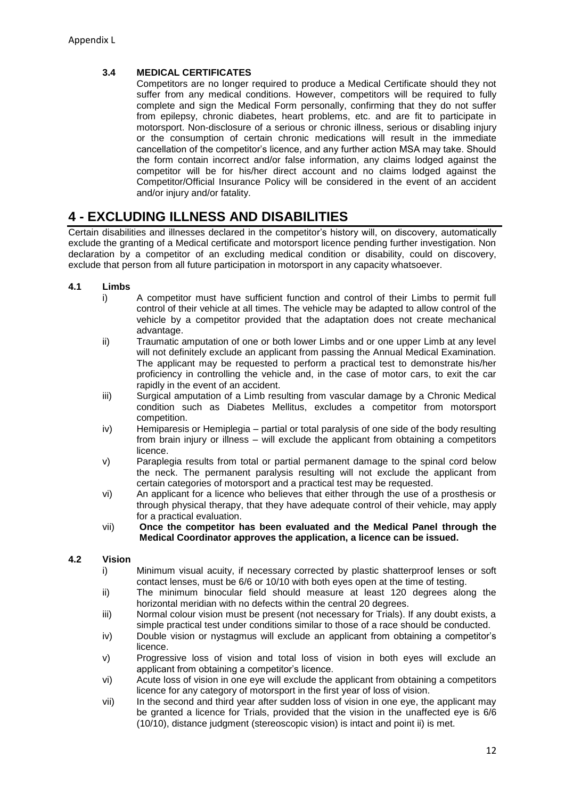#### **3.4 MEDICAL CERTIFICATES**

Competitors are no longer required to produce a Medical Certificate should they not suffer from any medical conditions. However, competitors will be required to fully complete and sign the Medical Form personally, confirming that they do not suffer from epilepsy, chronic diabetes, heart problems, etc. and are fit to participate in motorsport. Non-disclosure of a serious or chronic illness, serious or disabling injury or the consumption of certain chronic medications will result in the immediate cancellation of the competitor's licence, and any further action MSA may take. Should the form contain incorrect and/or false information, any claims lodged against the competitor will be for his/her direct account and no claims lodged against the Competitor/Official Insurance Policy will be considered in the event of an accident and/or injury and/or fatality.

# **4 - EXCLUDING ILLNESS AND DISABILITIES**

Certain disabilities and illnesses declared in the competitor's history will, on discovery, automatically exclude the granting of a Medical certificate and motorsport licence pending further investigation. Non declaration by a competitor of an excluding medical condition or disability, could on discovery, exclude that person from all future participation in motorsport in any capacity whatsoever.

- **4.1 Limbs**
	- i) A competitor must have sufficient function and control of their Limbs to permit full control of their vehicle at all times. The vehicle may be adapted to allow control of the vehicle by a competitor provided that the adaptation does not create mechanical advantage.
	- ii) Traumatic amputation of one or both lower Limbs and or one upper Limb at any level will not definitely exclude an applicant from passing the Annual Medical Examination. The applicant may be requested to perform a practical test to demonstrate his/her proficiency in controlling the vehicle and, in the case of motor cars, to exit the car rapidly in the event of an accident.
	- iii) Surgical amputation of a Limb resulting from vascular damage by a Chronic Medical condition such as Diabetes Mellitus, excludes a competitor from motorsport competition.
	- iv) Hemiparesis or Hemiplegia partial or total paralysis of one side of the body resulting from brain injury or illness – will exclude the applicant from obtaining a competitors licence.
	- v) Paraplegia results from total or partial permanent damage to the spinal cord below the neck. The permanent paralysis resulting will not exclude the applicant from certain categories of motorsport and a practical test may be requested.
	- vi) An applicant for a licence who believes that either through the use of a prosthesis or through physical therapy, that they have adequate control of their vehicle, may apply for a practical evaluation.
	- vii) **Once the competitor has been evaluated and the Medical Panel through the Medical Coordinator approves the application, a licence can be issued.**

#### **4.2 Vision**

- i) Minimum visual acuity, if necessary corrected by plastic shatterproof lenses or soft contact lenses, must be 6/6 or 10/10 with both eyes open at the time of testing.
- ii) The minimum binocular field should measure at least 120 degrees along the horizontal meridian with no defects within the central 20 degrees.
- iii) Normal colour vision must be present (not necessary for Trials). If any doubt exists, a simple practical test under conditions similar to those of a race should be conducted.
- iv) Double vision or nystagmus will exclude an applicant from obtaining a competitor's licence.
- v) Progressive loss of vision and total loss of vision in both eyes will exclude an applicant from obtaining a competitor's licence.
- vi) Acute loss of vision in one eye will exclude the applicant from obtaining a competitors licence for any category of motorsport in the first year of loss of vision.
- vii) In the second and third year after sudden loss of vision in one eye, the applicant may be granted a licence for Trials, provided that the vision in the unaffected eye is 6/6 (10/10), distance judgment (stereoscopic vision) is intact and point ii) is met.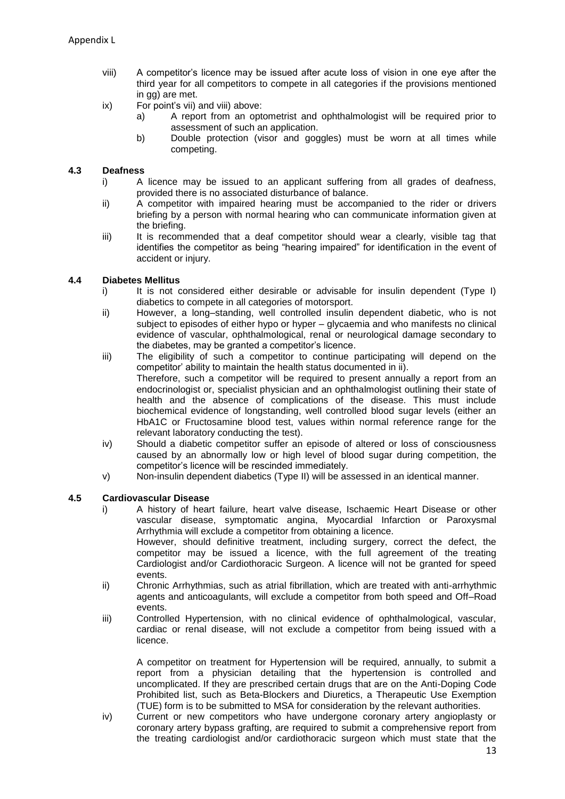- viii) A competitor's licence may be issued after acute loss of vision in one eye after the third year for all competitors to compete in all categories if the provisions mentioned in gg) are met.
- ix) For point's vii) and viii) above:
	- a) A report from an optometrist and ophthalmologist will be required prior to assessment of such an application.
	- b) Double protection (visor and goggles) must be worn at all times while competing.

#### **4.3 Deafness**

- i) A licence may be issued to an applicant suffering from all grades of deafness, provided there is no associated disturbance of balance.
- ii) A competitor with impaired hearing must be accompanied to the rider or drivers briefing by a person with normal hearing who can communicate information given at the briefing.
- iii) It is recommended that a deaf competitor should wear a clearly, visible tag that identifies the competitor as being "hearing impaired" for identification in the event of accident or injury.

#### **4.4 Diabetes Mellitus**

- i) It is not considered either desirable or advisable for insulin dependent (Type I) diabetics to compete in all categories of motorsport.
- ii) However, a long–standing, well controlled insulin dependent diabetic, who is not subject to episodes of either hypo or hyper – glycaemia and who manifests no clinical evidence of vascular, ophthalmological, renal or neurological damage secondary to the diabetes, may be granted a competitor's licence.
- iii) The eligibility of such a competitor to continue participating will depend on the competitor' ability to maintain the health status documented in ii). Therefore, such a competitor will be required to present annually a report from an endocrinologist or, specialist physician and an ophthalmologist outlining their state of health and the absence of complications of the disease. This must include biochemical evidence of longstanding, well controlled blood sugar levels (either an HbA1C or Fructosamine blood test, values within normal reference range for the relevant laboratory conducting the test).
- iv) Should a diabetic competitor suffer an episode of altered or loss of consciousness caused by an abnormally low or high level of blood sugar during competition, the competitor's licence will be rescinded immediately.
- v) Non-insulin dependent diabetics (Type II) will be assessed in an identical manner.

#### **4.5 Cardiovascular Disease**

- i) A history of heart failure, heart valve disease, Ischaemic Heart Disease or other vascular disease, symptomatic angina, Myocardial Infarction or Paroxysmal Arrhythmia will exclude a competitor from obtaining a licence. However, should definitive treatment, including surgery, correct the defect, the competitor may be issued a licence, with the full agreement of the treating
	- Cardiologist and/or Cardiothoracic Surgeon. A licence will not be granted for speed events.
- ii) Chronic Arrhythmias, such as atrial fibrillation, which are treated with anti-arrhythmic agents and anticoagulants, will exclude a competitor from both speed and Off–Road events.
- iii) Controlled Hypertension, with no clinical evidence of ophthalmological, vascular, cardiac or renal disease, will not exclude a competitor from being issued with a licence.

A competitor on treatment for Hypertension will be required, annually, to submit a report from a physician detailing that the hypertension is controlled and uncomplicated. If they are prescribed certain drugs that are on the Anti-Doping Code Prohibited list, such as Beta-Blockers and Diuretics, a Therapeutic Use Exemption (TUE) form is to be submitted to MSA for consideration by the relevant authorities.

iv) Current or new competitors who have undergone coronary artery angioplasty or coronary artery bypass grafting, are required to submit a comprehensive report from the treating cardiologist and/or cardiothoracic surgeon which must state that the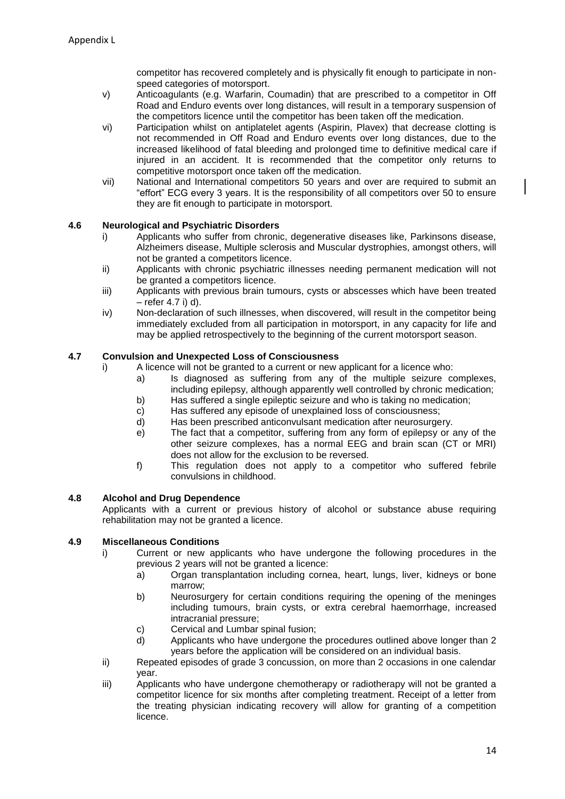competitor has recovered completely and is physically fit enough to participate in nonspeed categories of motorsport.

- v) Anticoagulants (e.g. Warfarin, Coumadin) that are prescribed to a competitor in Off Road and Enduro events over long distances, will result in a temporary suspension of the competitors licence until the competitor has been taken off the medication.
- vi) Participation whilst on antiplatelet agents (Aspirin, Plavex) that decrease clotting is not recommended in Off Road and Enduro events over long distances, due to the increased likelihood of fatal bleeding and prolonged time to definitive medical care if injured in an accident. It is recommended that the competitor only returns to competitive motorsport once taken off the medication.
- vii) National and International competitors 50 years and over are required to submit an "effort" ECG every 3 years. It is the responsibility of all competitors over 50 to ensure they are fit enough to participate in motorsport.

#### **4.6 Neurological and Psychiatric Disorders**

- i) Applicants who suffer from chronic, degenerative diseases like, Parkinsons disease, Alzheimers disease, Multiple sclerosis and Muscular dystrophies, amongst others, will not be granted a competitors licence.
- ii) Applicants with chronic psychiatric illnesses needing permanent medication will not be granted a competitors licence.
- iii) Applicants with previous brain tumours, cysts or abscesses which have been treated – refer 4.7 i) d).
- iv) Non-declaration of such illnesses, when discovered, will result in the competitor being immediately excluded from all participation in motorsport, in any capacity for life and may be applied retrospectively to the beginning of the current motorsport season.

#### **4.7 Convulsion and Unexpected Loss of Consciousness**

- A licence will not be granted to a current or new applicant for a licence who:
	- a) Is diagnosed as suffering from any of the multiple seizure complexes, including epilepsy, although apparently well controlled by chronic medication;
	- b) Has suffered a single epileptic seizure and who is taking no medication;
	- c) Has suffered any episode of unexplained loss of consciousness;
	- d) Has been prescribed anticonvulsant medication after neurosurgery.
	- e) The fact that a competitor, suffering from any form of epilepsy or any of the other seizure complexes, has a normal EEG and brain scan (CT or MRI) does not allow for the exclusion to be reversed.
	- f) This regulation does not apply to a competitor who suffered febrile convulsions in childhood.

#### **4.8 Alcohol and Drug Dependence**

Applicants with a current or previous history of alcohol or substance abuse requiring rehabilitation may not be granted a licence.

#### **4.9 Miscellaneous Conditions**

- i) Current or new applicants who have undergone the following procedures in the previous 2 years will not be granted a licence:
	- a) Organ transplantation including cornea, heart, lungs, liver, kidneys or bone marrow;
	- b) Neurosurgery for certain conditions requiring the opening of the meninges including tumours, brain cysts, or extra cerebral haemorrhage, increased intracranial pressure;
	- c) Cervical and Lumbar spinal fusion;
	- d) Applicants who have undergone the procedures outlined above longer than 2 years before the application will be considered on an individual basis.
- ii) Repeated episodes of grade 3 concussion, on more than 2 occasions in one calendar year.
- iii) Applicants who have undergone chemotherapy or radiotherapy will not be granted a competitor licence for six months after completing treatment. Receipt of a letter from the treating physician indicating recovery will allow for granting of a competition licence.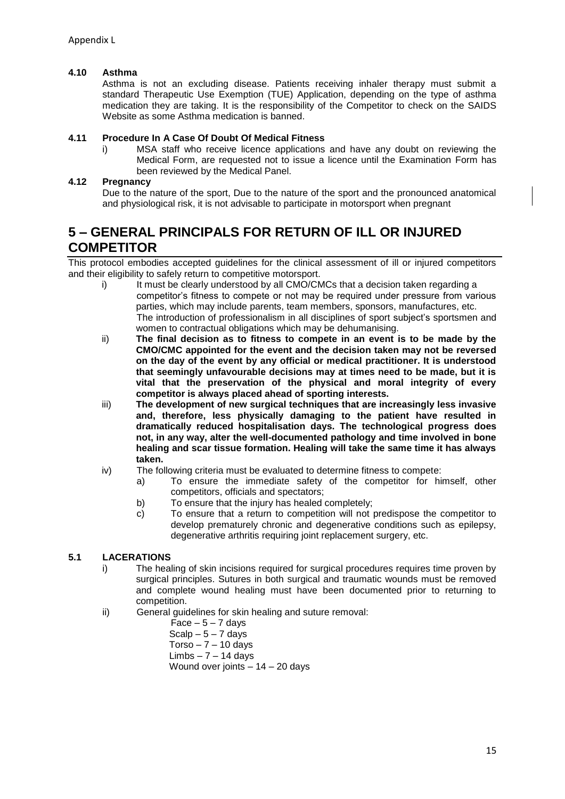#### **4.10 Asthma**

Asthma is not an excluding disease. Patients receiving inhaler therapy must submit a standard Therapeutic Use Exemption (TUE) Application, depending on the type of asthma medication they are taking. It is the responsibility of the Competitor to check on the SAIDS Website as some Asthma medication is banned.

#### **4.11 Procedure In A Case Of Doubt Of Medical Fitness**

i) MSA staff who receive licence applications and have any doubt on reviewing the Medical Form, are requested not to issue a licence until the Examination Form has been reviewed by the Medical Panel.

#### **4.12 Pregnancy**

Due to the nature of the sport, Due to the nature of the sport and the pronounced anatomical and physiological risk, it is not advisable to participate in motorsport when pregnant

### **5 – GENERAL PRINCIPALS FOR RETURN OF ILL OR INJURED COMPETITOR**

This protocol embodies accepted guidelines for the clinical assessment of ill or injured competitors and their eligibility to safely return to competitive motorsport.

- i) It must be clearly understood by all CMO/CMCs that a decision taken regarding a competitor's fitness to compete or not may be required under pressure from various parties, which may include parents, team members, sponsors, manufactures, etc. The introduction of professionalism in all disciplines of sport subject's sportsmen and women to contractual obligations which may be dehumanising.
- ii) **The final decision as to fitness to compete in an event is to be made by the CMO/CMC appointed for the event and the decision taken may not be reversed on the day of the event by any official or medical practitioner. It is understood that seemingly unfavourable decisions may at times need to be made, but it is vital that the preservation of the physical and moral integrity of every competitor is always placed ahead of sporting interests.**
- iii) **The development of new surgical techniques that are increasingly less invasive and, therefore, less physically damaging to the patient have resulted in dramatically reduced hospitalisation days. The technological progress does not, in any way, alter the well-documented pathology and time involved in bone healing and scar tissue formation. Healing will take the same time it has always taken.**
- iv) The following criteria must be evaluated to determine fitness to compete:
	- a) To ensure the immediate safety of the competitor for himself, other competitors, officials and spectators;
	- b) To ensure that the injury has healed completely;
	- c) To ensure that a return to competition will not predispose the competitor to develop prematurely chronic and degenerative conditions such as epilepsy, degenerative arthritis requiring joint replacement surgery, etc.

#### **5.1 LACERATIONS**

- i) The healing of skin incisions required for surgical procedures requires time proven by surgical principles. Sutures in both surgical and traumatic wounds must be removed and complete wound healing must have been documented prior to returning to competition.
- ii) General guidelines for skin healing and suture removal:

 $Face - 5 - 7 days$ Scalp  $-5 - 7$  days  $Torso - 7 - 10 days$  $Limbs - 7 - 14$  days Wound over joints – 14 – 20 days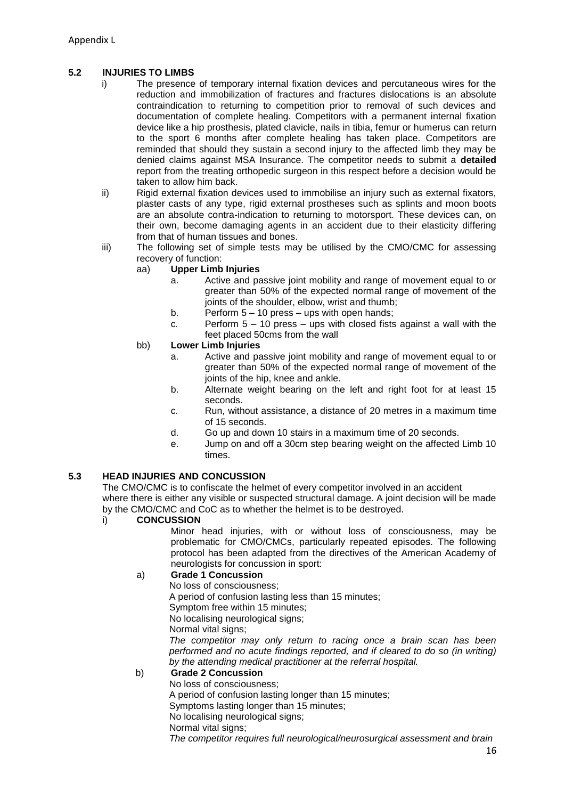#### **5.2 INJURIES TO LIMBS**

- i) The presence of temporary internal fixation devices and percutaneous wires for the reduction and immobilization of fractures and fractures dislocations is an absolute contraindication to returning to competition prior to removal of such devices and documentation of complete healing. Competitors with a permanent internal fixation device like a hip prosthesis, plated clavicle, nails in tibia, femur or humerus can return to the sport 6 months after complete healing has taken place. Competitors are reminded that should they sustain a second injury to the affected limb they may be denied claims against MSA Insurance. The competitor needs to submit a **detailed** report from the treating orthopedic surgeon in this respect before a decision would be taken to allow him back.
- ii) Rigid external fixation devices used to immobilise an injury such as external fixators, plaster casts of any type, rigid external prostheses such as splints and moon boots are an absolute contra-indication to returning to motorsport. These devices can, on their own, become damaging agents in an accident due to their elasticity differing from that of human tissues and bones.
- iii) The following set of simple tests may be utilised by the CMO/CMC for assessing recovery of function:

#### aa) **Upper Limb Injuries**

- a. Active and passive joint mobility and range of movement equal to or greater than 50% of the expected normal range of movement of the joints of the shoulder, elbow, wrist and thumb;
- b. Perform  $5 10$  press ups with open hands;
- c. Perform 5 10 press ups with closed fists against a wall with the feet placed 50cms from the wall

#### bb) **Lower Limb Injuries**

- a. Active and passive joint mobility and range of movement equal to or greater than 50% of the expected normal range of movement of the joints of the hip, knee and ankle.
- b. Alternate weight bearing on the left and right foot for at least 15 seconds.
- c. Run, without assistance, a distance of 20 metres in a maximum time of 15 seconds.
- d. Go up and down 10 stairs in a maximum time of 20 seconds.
- e. Jump on and off a 30cm step bearing weight on the affected Limb 10 times.

#### **5.3 HEAD INJURIES AND CONCUSSION**

The CMO/CMC is to confiscate the helmet of every competitor involved in an accident where there is either any visible or suspected structural damage. A joint decision will be made by the CMO/CMC and CoC as to whether the helmet is to be destroyed.

#### i) **CONCUSSION**

Minor head injuries, with or without loss of consciousness, may be problematic for CMO/CMCs, particularly repeated episodes. The following protocol has been adapted from the directives of the American Academy of neurologists for concussion in sport:

#### a) **Grade 1 Concussion**

No loss of consciousness;

A period of confusion lasting less than 15 minutes;

Symptom free within 15 minutes;

No localising neurological signs;

Normal vital signs;

*The competitor may only return to racing once a brain scan has been performed and no acute findings reported, and if cleared to do so (in writing) by the attending medical practitioner at the referral hospital.*

#### b) **Grade 2 Concussion**

No loss of consciousness;

A period of confusion lasting longer than 15 minutes;

Symptoms lasting longer than 15 minutes;

No localising neurological signs;

Normal vital signs:

*The competitor requires full neurological/neurosurgical assessment and brain*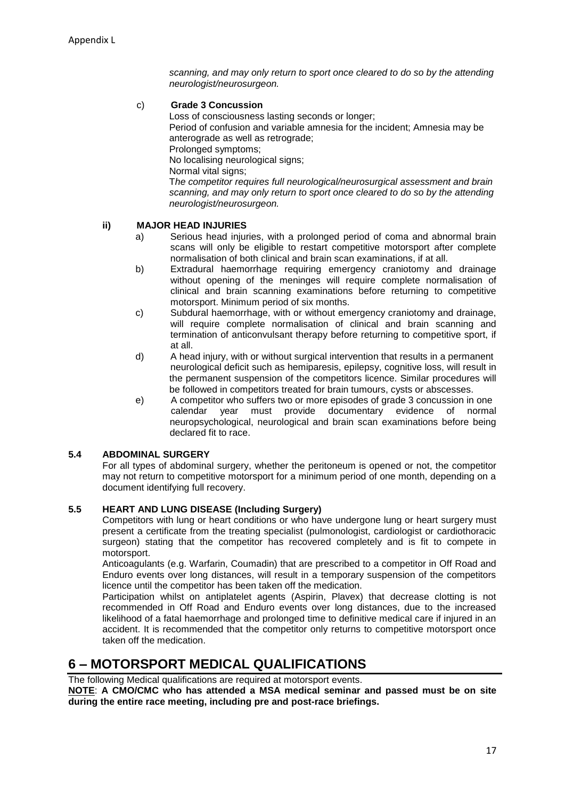*scanning, and may only return to sport once cleared to do so by the attending neurologist/neurosurgeon.*

#### c) **Grade 3 Concussion**

Loss of consciousness lasting seconds or longer; Period of confusion and variable amnesia for the incident; Amnesia may be anterograde as well as retrograde; Prolonged symptoms; No localising neurological signs; Normal vital signs; T*he competitor requires full neurological/neurosurgical assessment and brain scanning, and may only return to sport once cleared to do so by the attending neurologist/neurosurgeon.*

#### **ii) MAJOR HEAD INJURIES**

- a) Serious head injuries, with a prolonged period of coma and abnormal brain scans will only be eligible to restart competitive motorsport after complete normalisation of both clinical and brain scan examinations, if at all.
- b) Extradural haemorrhage requiring emergency craniotomy and drainage without opening of the meninges will require complete normalisation of clinical and brain scanning examinations before returning to competitive motorsport. Minimum period of six months.
- c) Subdural haemorrhage, with or without emergency craniotomy and drainage, will require complete normalisation of clinical and brain scanning and termination of anticonvulsant therapy before returning to competitive sport, if at all.
- d) A head injury, with or without surgical intervention that results in a permanent neurological deficit such as hemiparesis, epilepsy, cognitive loss, will result in the permanent suspension of the competitors licence. Similar procedures will be followed in competitors treated for brain tumours, cysts or abscesses.
- e) A competitor who suffers two or more episodes of grade 3 concussion in one<br>calendar vear must provide documentary evidence of norma calendar year must provide documentary evidence of normal neuropsychological, neurological and brain scan examinations before being declared fit to race.

#### **5.4 ABDOMINAL SURGERY**

For all types of abdominal surgery, whether the peritoneum is opened or not, the competitor may not return to competitive motorsport for a minimum period of one month, depending on a document identifying full recovery.

#### **5.5 HEART AND LUNG DISEASE (Including Surgery)**

Competitors with lung or heart conditions or who have undergone lung or heart surgery must present a certificate from the treating specialist (pulmonologist, cardiologist or cardiothoracic surgeon) stating that the competitor has recovered completely and is fit to compete in motorsport.

Anticoagulants (e.g. Warfarin, Coumadin) that are prescribed to a competitor in Off Road and Enduro events over long distances, will result in a temporary suspension of the competitors licence until the competitor has been taken off the medication.

Participation whilst on antiplatelet agents (Aspirin, Plavex) that decrease clotting is not recommended in Off Road and Enduro events over long distances, due to the increased likelihood of a fatal haemorrhage and prolonged time to definitive medical care if injured in an accident. It is recommended that the competitor only returns to competitive motorsport once taken off the medication.

### **6 – MOTORSPORT MEDICAL QUALIFICATIONS**

The following Medical qualifications are required at motorsport events. **NOTE**: **A CMO/CMC who has attended a MSA medical seminar and passed must be on site during the entire race meeting, including pre and post-race briefings.**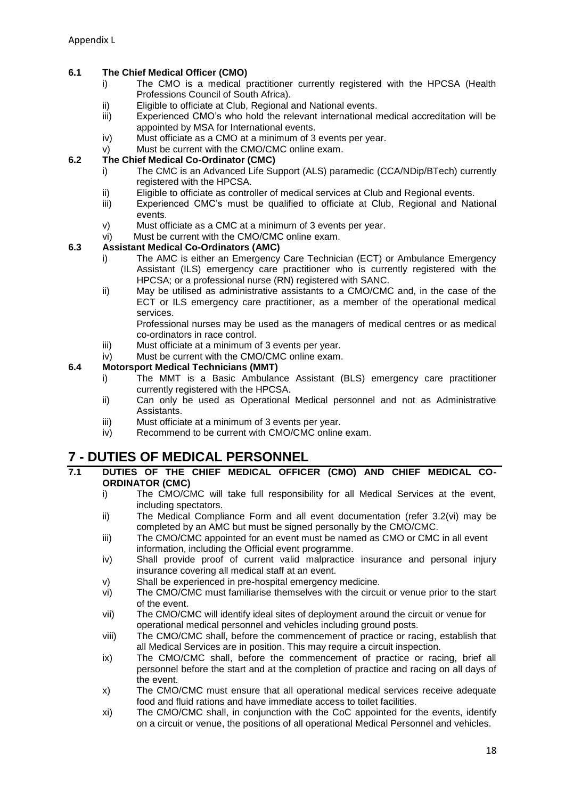#### **6.1 The Chief Medical Officer (CMO)**

- i) The CMO is a medical practitioner currently registered with the HPCSA (Health Professions Council of South Africa).
- ii) Eligible to officiate at Club, Regional and National events.
- iii) Experienced CMO's who hold the relevant international medical accreditation will be appointed by MSA for International events.
- iv) Must officiate as a CMO at a minimum of 3 events per year.
- v) Must be current with the CMO/CMC online exam.

#### **6.2 The Chief Medical Co-Ordinator (CMC)**

- i) The CMC is an Advanced Life Support (ALS) paramedic (CCA/NDip/BTech) currently registered with the HPCSA.
- ii) Eligible to officiate as controller of medical services at Club and Regional events.<br>iii) Experienced CMC's must be qualified to officiate at Club, Regional and Nat
- Experienced CMC's must be qualified to officiate at Club, Regional and National events.
- v) Must officiate as a CMC at a minimum of 3 events per year.
- vi) Must be current with the CMO/CMC online exam.

#### **6.3 Assistant Medical Co-Ordinators (AMC)**

- i) The AMC is either an Emergency Care Technician (ECT) or Ambulance Emergency Assistant (ILS) emergency care practitioner who is currently registered with the HPCSA; or a professional nurse (RN) registered with SANC.
- ii) May be utilised as administrative assistants to a CMO/CMC and, in the case of the ECT or ILS emergency care practitioner, as a member of the operational medical services.

Professional nurses may be used as the managers of medical centres or as medical co-ordinators in race control.

- iii) Must officiate at a minimum of 3 events per year.
- iv) Must be current with the CMO/CMC online exam.

#### **6.4 Motorsport Medical Technicians (MMT)**

- i) The MMT is a Basic Ambulance Assistant (BLS) emergency care practitioner currently registered with the HPCSA.
- ii) Can only be used as Operational Medical personnel and not as Administrative Assistants.
- iii) Must officiate at a minimum of 3 events per year.
- iv) Recommend to be current with CMO/CMC online exam.

### **7 - DUTIES OF MEDICAL PERSONNEL**

- **7.1 DUTIES OF THE CHIEF MEDICAL OFFICER (CMO) AND CHIEF MEDICAL CO-ORDINATOR (CMC)**
	- i) The CMO/CMC will take full responsibility for all Medical Services at the event, including spectators.
	- ii) The Medical Compliance Form and all event documentation (refer 3.2(vi) may be completed by an AMC but must be signed personally by the CMO/CMC.
	- iii) The CMO/CMC appointed for an event must be named as CMO or CMC in all event information, including the Official event programme.
	- iv) Shall provide proof of current valid malpractice insurance and personal injury insurance covering all medical staff at an event.
	- v) Shall be experienced in pre-hospital emergency medicine.
	- vi) The CMO/CMC must familiarise themselves with the circuit or venue prior to the start of the event.
	- vii) The CMO/CMC will identify ideal sites of deployment around the circuit or venue for operational medical personnel and vehicles including ground posts.
	- viii) The CMO/CMC shall, before the commencement of practice or racing, establish that all Medical Services are in position. This may require a circuit inspection.
	- ix) The CMO/CMC shall, before the commencement of practice or racing, brief all personnel before the start and at the completion of practice and racing on all days of the event.
	- x) The CMO/CMC must ensure that all operational medical services receive adequate food and fluid rations and have immediate access to toilet facilities.
	- xi) The CMO/CMC shall, in conjunction with the CoC appointed for the events, identify on a circuit or venue, the positions of all operational Medical Personnel and vehicles.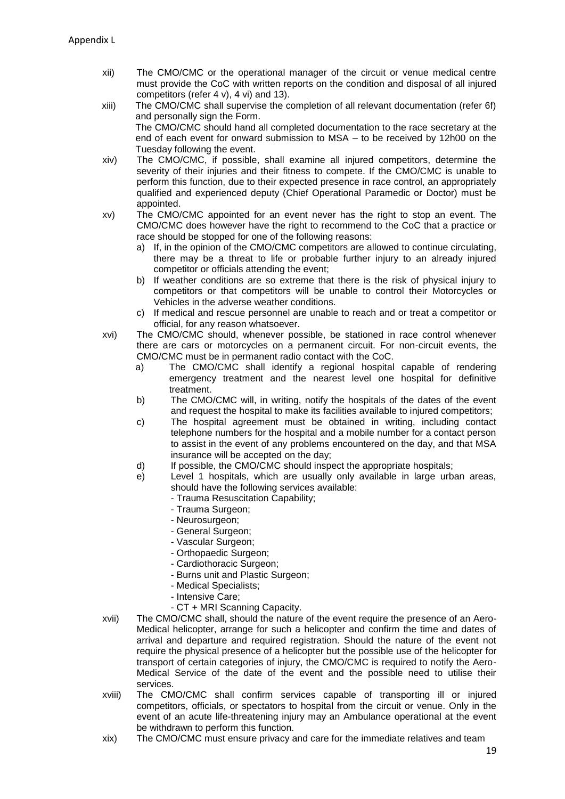- xii) The CMO/CMC or the operational manager of the circuit or venue medical centre must provide the CoC with written reports on the condition and disposal of all injured competitors (refer 4 v), 4 vi) and 13).
- xiii) The CMO/CMC shall supervise the completion of all relevant documentation (refer 6f) and personally sign the Form. The CMO/CMC should hand all completed documentation to the race secretary at the end of each event for onward submission to MSA – to be received by 12h00 on the Tuesday following the event.
- xiv) The CMO/CMC, if possible, shall examine all injured competitors, determine the severity of their injuries and their fitness to compete. If the CMO/CMC is unable to perform this function, due to their expected presence in race control, an appropriately qualified and experienced deputy (Chief Operational Paramedic or Doctor) must be appointed.
- xv) The CMO/CMC appointed for an event never has the right to stop an event. The CMO/CMC does however have the right to recommend to the CoC that a practice or race should be stopped for one of the following reasons:
	- a) If, in the opinion of the CMO/CMC competitors are allowed to continue circulating, there may be a threat to life or probable further injury to an already injured competitor or officials attending the event;
	- b) If weather conditions are so extreme that there is the risk of physical injury to competitors or that competitors will be unable to control their Motorcycles or Vehicles in the adverse weather conditions.
	- c) If medical and rescue personnel are unable to reach and or treat a competitor or official, for any reason whatsoever.
- xvi) The CMO/CMC should, whenever possible, be stationed in race control whenever there are cars or motorcycles on a permanent circuit. For non-circuit events, the CMO/CMC must be in permanent radio contact with the CoC.
	- a) The CMO/CMC shall identify a regional hospital capable of rendering emergency treatment and the nearest level one hospital for definitive treatment.
	- b) The CMO/CMC will, in writing, notify the hospitals of the dates of the event and request the hospital to make its facilities available to injured competitors;
	- c) The hospital agreement must be obtained in writing, including contact telephone numbers for the hospital and a mobile number for a contact person to assist in the event of any problems encountered on the day, and that MSA insurance will be accepted on the day;
	- d) If possible, the CMO/CMC should inspect the appropriate hospitals;
	- e) Level 1 hospitals, which are usually only available in large urban areas, should have the following services available:
		- Trauma Resuscitation Capability;
		- Trauma Surgeon;
		- Neurosurgeon;
		- General Surgeon;
		- Vascular Surgeon;
		- Orthopaedic Surgeon;
		- Cardiothoracic Surgeon;
		- Burns unit and Plastic Surgeon;
		- Medical Specialists;
		- Intensive Care;
		- CT + MRI Scanning Capacity.
- xvii) The CMO/CMC shall, should the nature of the event require the presence of an Aero-Medical helicopter, arrange for such a helicopter and confirm the time and dates of arrival and departure and required registration. Should the nature of the event not require the physical presence of a helicopter but the possible use of the helicopter for transport of certain categories of injury, the CMO/CMC is required to notify the Aero-Medical Service of the date of the event and the possible need to utilise their services.
- xviii) The CMO/CMC shall confirm services capable of transporting ill or injured competitors, officials, or spectators to hospital from the circuit or venue. Only in the event of an acute life-threatening injury may an Ambulance operational at the event be withdrawn to perform this function.
- xix) The CMO/CMC must ensure privacy and care for the immediate relatives and team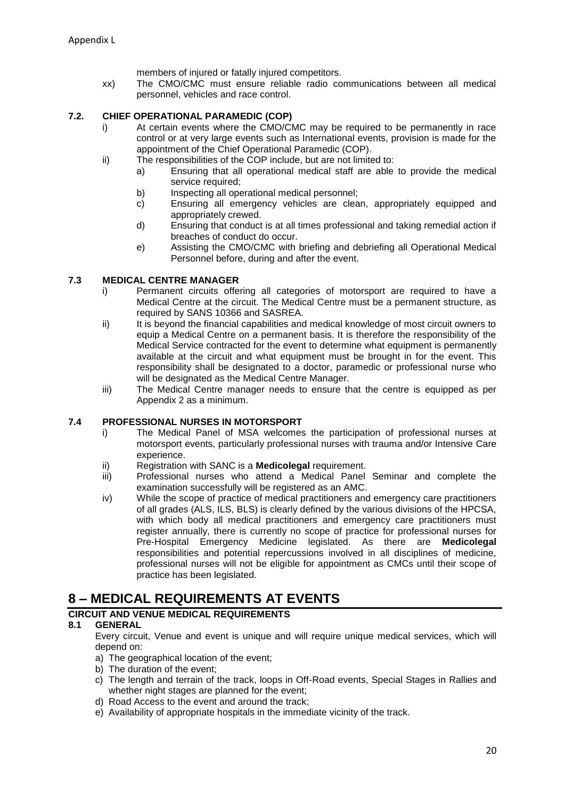members of injured or fatally injured competitors.

xx) The CMO/CMC must ensure reliable radio communications between all medical personnel, vehicles and race control.

#### **7.2. CHIEF OPERATIONAL PARAMEDIC (COP)**

- i) At certain events where the CMO/CMC may be required to be permanently in race control or at very large events such as International events, provision is made for the appointment of the Chief Operational Paramedic (COP).
- ii) The responsibilities of the COP include, but are not limited to:
	- a) Ensuring that all operational medical staff are able to provide the medical service required;
	- b) Inspecting all operational medical personnel;
	- c) Ensuring all emergency vehicles are clean, appropriately equipped and appropriately crewed.
	- d) Ensuring that conduct is at all times professional and taking remedial action if breaches of conduct do occur.
	- e) Assisting the CMO/CMC with briefing and debriefing all Operational Medical Personnel before, during and after the event.

#### **7.3 MEDICAL CENTRE MANAGER**

- i) Permanent circuits offering all categories of motorsport are required to have a Medical Centre at the circuit. The Medical Centre must be a permanent structure, as required by SANS 10366 and SASREA.
- ii) It is beyond the financial capabilities and medical knowledge of most circuit owners to equip a Medical Centre on a permanent basis. It is therefore the responsibility of the Medical Service contracted for the event to determine what equipment is permanently available at the circuit and what equipment must be brought in for the event. This responsibility shall be designated to a doctor, paramedic or professional nurse who will be designated as the Medical Centre Manager.
- iii) The Medical Centre manager needs to ensure that the centre is equipped as per Appendix 2 as a minimum.

#### **7.4 PROFESSIONAL NURSES IN MOTORSPORT**

- i) The Medical Panel of MSA welcomes the participation of professional nurses at motorsport events, particularly professional nurses with trauma and/or Intensive Care experience.
- ii) Registration with SANC is a **Medicolegal** requirement.
- iii) Professional nurses who attend a Medical Panel Seminar and complete the examination successfully will be registered as an AMC.
- iv) While the scope of practice of medical practitioners and emergency care practitioners of all grades (ALS, ILS, BLS) is clearly defined by the various divisions of the HPCSA, with which body all medical practitioners and emergency care practitioners must register annually, there is currently no scope of practice for professional nurses for Pre-Hospital Emergency Medicine legislated. As there are **Medicolegal** responsibilities and potential repercussions involved in all disciplines of medicine, professional nurses will not be eligible for appointment as CMCs until their scope of practice has been legislated.

### **8 – MEDICAL REQUIREMENTS AT EVENTS**

#### **CIRCUIT AND VENUE MEDICAL REQUIREMENTS**

#### **8.1 GENERAL**

Every circuit, Venue and event is unique and will require unique medical services, which will depend on:

- a) The geographical location of the event;
- b) The duration of the event;
- c) The length and terrain of the track, loops in Off-Road events, Special Stages in Rallies and whether night stages are planned for the event;
- d) Road Access to the event and around the track;
- e) Availability of appropriate hospitals in the immediate vicinity of the track.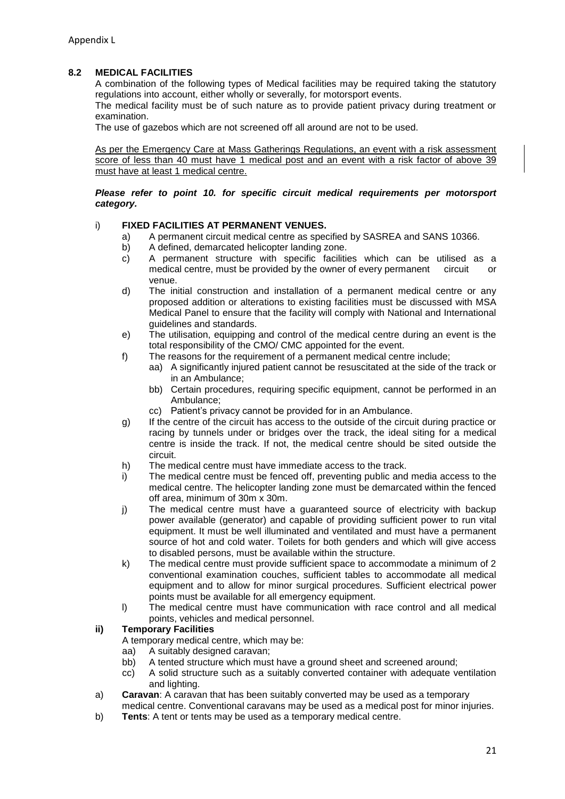#### **8.2 MEDICAL FACILITIES**

A combination of the following types of Medical facilities may be required taking the statutory regulations into account, either wholly or severally, for motorsport events.

The medical facility must be of such nature as to provide patient privacy during treatment or examination.

The use of gazebos which are not screened off all around are not to be used.

As per the Emergency Care at Mass Gatherings Regulations, an event with a risk assessment score of less than 40 must have 1 medical post and an event with a risk factor of above 39 must have at least 1 medical centre.

#### *Please refer to point 10. for specific circuit medical requirements per motorsport category.*

#### i) **FIXED FACILITIES AT PERMANENT VENUES.**

- a) A permanent circuit medical centre as specified by SASREA and SANS 10366.
- b) A defined, demarcated helicopter landing zone.
- c) A permanent structure with specific facilities which can be utilised as a medical centre, must be provided by the owner of every permanent circuit or venue.
- d) The initial construction and installation of a permanent medical centre or any proposed addition or alterations to existing facilities must be discussed with MSA Medical Panel to ensure that the facility will comply with National and International guidelines and standards.
- e) The utilisation, equipping and control of the medical centre during an event is the total responsibility of the CMO/ CMC appointed for the event.
- f) The reasons for the requirement of a permanent medical centre include;
	- aa) A significantly injured patient cannot be resuscitated at the side of the track or in an Ambulance;
	- bb) Certain procedures, requiring specific equipment, cannot be performed in an Ambulance;
	- cc) Patient's privacy cannot be provided for in an Ambulance.
- g) If the centre of the circuit has access to the outside of the circuit during practice or racing by tunnels under or bridges over the track, the ideal siting for a medical centre is inside the track. If not, the medical centre should be sited outside the circuit.
- h) The medical centre must have immediate access to the track.
- i) The medical centre must be fenced off, preventing public and media access to the medical centre. The helicopter landing zone must be demarcated within the fenced off area, minimum of 30m x 30m.
- j) The medical centre must have a guaranteed source of electricity with backup power available (generator) and capable of providing sufficient power to run vital equipment. It must be well illuminated and ventilated and must have a permanent source of hot and cold water. Toilets for both genders and which will give access to disabled persons, must be available within the structure.
- k) The medical centre must provide sufficient space to accommodate a minimum of 2 conventional examination couches, sufficient tables to accommodate all medical equipment and to allow for minor surgical procedures. Sufficient electrical power points must be available for all emergency equipment.
- l) The medical centre must have communication with race control and all medical points, vehicles and medical personnel.

#### **ii) Temporary Facilities**

A temporary medical centre, which may be:

- aa) A suitably designed caravan;
- bb) A tented structure which must have a ground sheet and screened around;
- cc) A solid structure such as a suitably converted container with adequate ventilation and lighting.
- a) **Caravan**: A caravan that has been suitably converted may be used as a temporary medical centre. Conventional caravans may be used as a medical post for minor injuries.
- b) **Tents**: A tent or tents may be used as a temporary medical centre.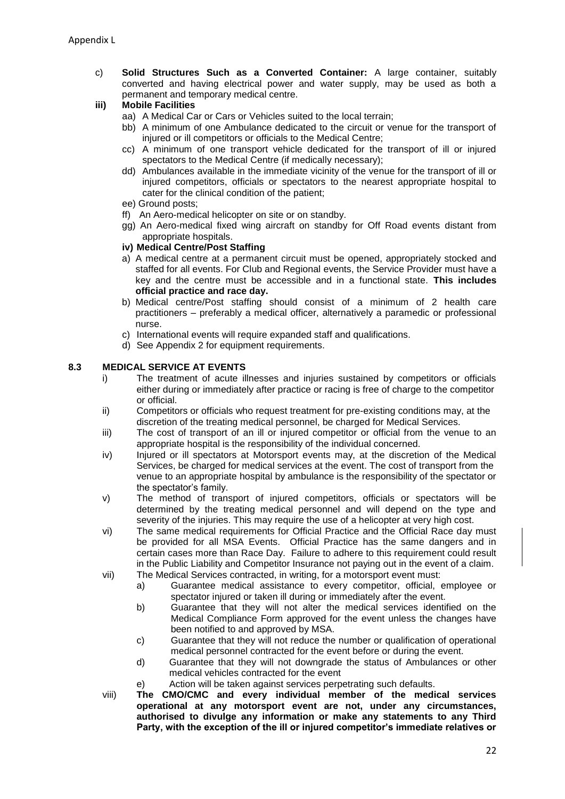- c) **Solid Structures Such as a Converted Container:** A large container, suitably converted and having electrical power and water supply, may be used as both a permanent and temporary medical centre.
- **iii) Mobile Facilities**
	- aa) A Medical Car or Cars or Vehicles suited to the local terrain;
	- bb) A minimum of one Ambulance dedicated to the circuit or venue for the transport of injured or ill competitors or officials to the Medical Centre;
	- cc) A minimum of one transport vehicle dedicated for the transport of ill or injured spectators to the Medical Centre (if medically necessary);
	- dd) Ambulances available in the immediate vicinity of the venue for the transport of ill or injured competitors, officials or spectators to the nearest appropriate hospital to cater for the clinical condition of the patient;
	- ee) Ground posts;
	- ff) An Aero-medical helicopter on site or on standby.
	- gg) An Aero-medical fixed wing aircraft on standby for Off Road events distant from appropriate hospitals.

#### **iv) Medical Centre/Post Staffing**

- a) A medical centre at a permanent circuit must be opened, appropriately stocked and staffed for all events. For Club and Regional events, the Service Provider must have a key and the centre must be accessible and in a functional state. **This includes official practice and race day.**
- b) Medical centre/Post staffing should consist of a minimum of 2 health care practitioners – preferably a medical officer, alternatively a paramedic or professional nurse.
- c) International events will require expanded staff and qualifications.
- d) See Appendix 2 for equipment requirements.

#### **8.3 MEDICAL SERVICE AT EVENTS**

- The treatment of acute illnesses and injuries sustained by competitors or officials either during or immediately after practice or racing is free of charge to the competitor or official.
- ii) Competitors or officials who request treatment for pre-existing conditions may, at the discretion of the treating medical personnel, be charged for Medical Services.
- iii) The cost of transport of an ill or injured competitor or official from the venue to an appropriate hospital is the responsibility of the individual concerned.
- iv) Injured or ill spectators at Motorsport events may, at the discretion of the Medical Services, be charged for medical services at the event. The cost of transport from the venue to an appropriate hospital by ambulance is the responsibility of the spectator or the spectator's family.
- v) The method of transport of injured competitors, officials or spectators will be determined by the treating medical personnel and will depend on the type and severity of the injuries. This may require the use of a helicopter at very high cost.
- vi) The same medical requirements for Official Practice and the Official Race day must be provided for all MSA Events. Official Practice has the same dangers and in certain cases more than Race Day. Failure to adhere to this requirement could result in the Public Liability and Competitor Insurance not paying out in the event of a claim.
- vii) The Medical Services contracted, in writing, for a motorsport event must:
	- a) Guarantee medical assistance to every competitor, official, employee or spectator injured or taken ill during or immediately after the event.
	- b) Guarantee that they will not alter the medical services identified on the Medical Compliance Form approved for the event unless the changes have been notified to and approved by MSA.
	- c) Guarantee that they will not reduce the number or qualification of operational medical personnel contracted for the event before or during the event.
	- d) Guarantee that they will not downgrade the status of Ambulances or other medical vehicles contracted for the event
	- e) Action will be taken against services perpetrating such defaults.
- viii) **The CMO/CMC and every individual member of the medical services operational at any motorsport event are not, under any circumstances, authorised to divulge any information or make any statements to any Third Party, with the exception of the ill or injured competitor's immediate relatives or**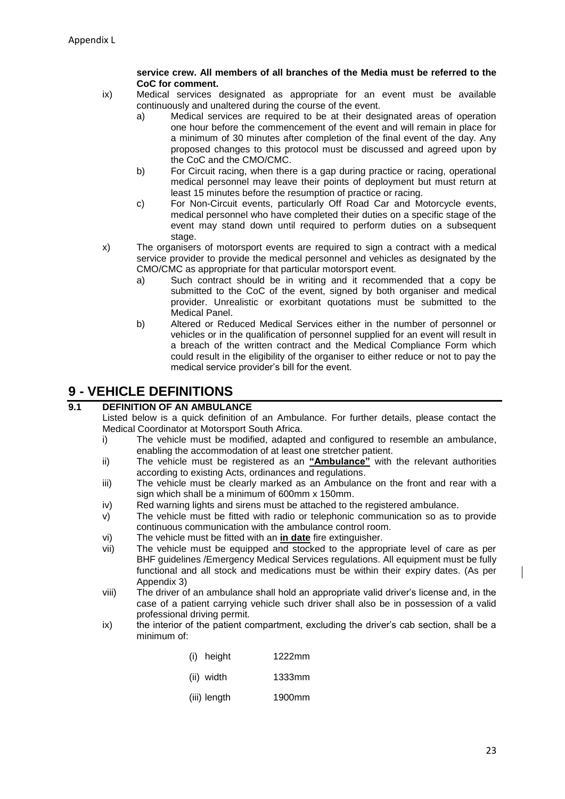#### **service crew. All members of all branches of the Media must be referred to the CoC for comment.**

- ix) Medical services designated as appropriate for an event must be available continuously and unaltered during the course of the event.
	- a) Medical services are required to be at their designated areas of operation one hour before the commencement of the event and will remain in place for a minimum of 30 minutes after completion of the final event of the day. Any proposed changes to this protocol must be discussed and agreed upon by the CoC and the CMO/CMC.
	- b) For Circuit racing, when there is a gap during practice or racing, operational medical personnel may leave their points of deployment but must return at least 15 minutes before the resumption of practice or racing.
	- c) For Non-Circuit events, particularly Off Road Car and Motorcycle events, medical personnel who have completed their duties on a specific stage of the event may stand down until required to perform duties on a subsequent stage.
- x) The organisers of motorsport events are required to sign a contract with a medical service provider to provide the medical personnel and vehicles as designated by the CMO/CMC as appropriate for that particular motorsport event.
	- a) Such contract should be in writing and it recommended that a copy be submitted to the CoC of the event, signed by both organiser and medical provider. Unrealistic or exorbitant quotations must be submitted to the Medical Panel.
	- b) Altered or Reduced Medical Services either in the number of personnel or vehicles or in the qualification of personnel supplied for an event will result in a breach of the written contract and the Medical Compliance Form which could result in the eligibility of the organiser to either reduce or not to pay the medical service provider's bill for the event.

# **9 - VEHICLE DEFINITIONS**

#### **9.1 DEFINITION OF AN AMBULANCE**

Listed below is a quick definition of an Ambulance. For further details, please contact the Medical Coordinator at Motorsport South Africa.

- i) The vehicle must be modified, adapted and configured to resemble an ambulance, enabling the accommodation of at least one stretcher patient.
- ii) The vehicle must be registered as an **"Ambulance"** with the relevant authorities according to existing Acts, ordinances and regulations.
- iii) The vehicle must be clearly marked as an Ambulance on the front and rear with a sign which shall be a minimum of 600mm x 150mm.
- iv) Red warning lights and sirens must be attached to the registered ambulance.
- v) The vehicle must be fitted with radio or telephonic communication so as to provide continuous communication with the ambulance control room.
- vi) The vehicle must be fitted with an **in date** fire extinguisher.
- vii) The vehicle must be equipped and stocked to the appropriate level of care as per BHF guidelines /Emergency Medical Services regulations. All equipment must be fully functional and all stock and medications must be within their expiry dates. (As per Appendix 3)
- viii) The driver of an ambulance shall hold an appropriate valid driver's license and, in the case of a patient carrying vehicle such driver shall also be in possession of a valid professional driving permit.
- ix) the interior of the patient compartment, excluding the driver's cab section, shall be a minimum of:

| (i) height | 1222mm |
|------------|--------|
|            |        |

- (ii) width 1333mm
- (iii) length 1900mm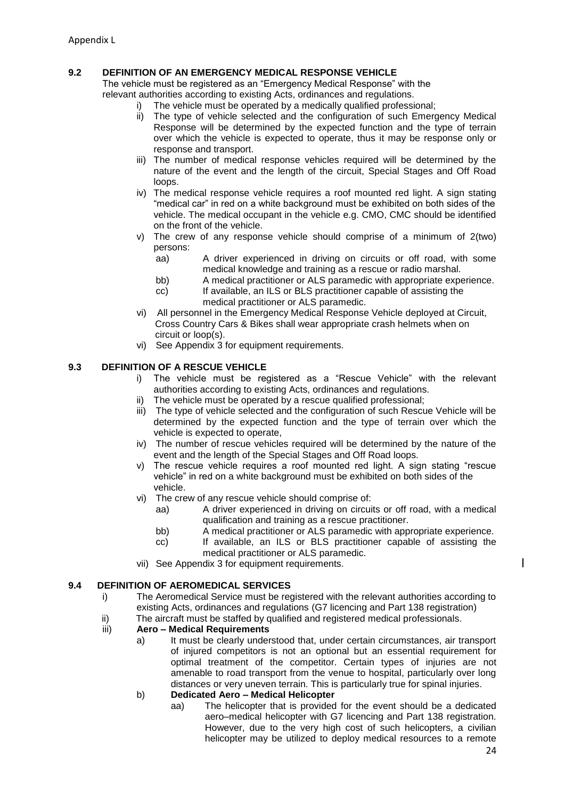#### **9.2 DEFINITION OF AN EMERGENCY MEDICAL RESPONSE VEHICLE**

The vehicle must be registered as an "Emergency Medical Response" with the relevant authorities according to existing Acts, ordinances and regulations.

- 
- i) The vehicle must be operated by a medically qualified professional;<br>ii) The type of vehicle selected and the configuration of such Emerc The type of vehicle selected and the configuration of such Emergency Medical Response will be determined by the expected function and the type of terrain over which the vehicle is expected to operate, thus it may be response only or response and transport.
- iii) The number of medical response vehicles required will be determined by the nature of the event and the length of the circuit, Special Stages and Off Road loops.
- iv) The medical response vehicle requires a roof mounted red light. A sign stating "medical car" in red on a white background must be exhibited on both sides of the vehicle. The medical occupant in the vehicle e.g. CMO, CMC should be identified on the front of the vehicle.
- v) The crew of any response vehicle should comprise of a minimum of 2(two) persons:
	- aa) A driver experienced in driving on circuits or off road, with some medical knowledge and training as a rescue or radio marshal.
	- bb) A medical practitioner or ALS paramedic with appropriate experience.
	- cc) If available, an ILS or BLS practitioner capable of assisting the medical practitioner or ALS paramedic.
- vi) All personnel in the Emergency Medical Response Vehicle deployed at Circuit, Cross Country Cars & Bikes shall wear appropriate crash helmets when on circuit or loop(s).
- vi) See Appendix 3 for equipment requirements.

#### **9.3 DEFINITION OF A RESCUE VEHICLE**

- i) The vehicle must be registered as a "Rescue Vehicle" with the relevant authorities according to existing Acts, ordinances and regulations.
- ii) The vehicle must be operated by a rescue qualified professional;
- iii) The type of vehicle selected and the configuration of such Rescue Vehicle will be determined by the expected function and the type of terrain over which the vehicle is expected to operate,
- iv) The number of rescue vehicles required will be determined by the nature of the event and the length of the Special Stages and Off Road loops.
- v) The rescue vehicle requires a roof mounted red light. A sign stating "rescue vehicle" in red on a white background must be exhibited on both sides of the vehicle.
- vi) The crew of any rescue vehicle should comprise of:
	- aa) A driver experienced in driving on circuits or off road, with a medical qualification and training as a rescue practitioner.
	- bb) A medical practitioner or ALS paramedic with appropriate experience.
	- cc) If available, an ILS or BLS practitioner capable of assisting the medical practitioner or ALS paramedic.
- vii) See Appendix 3 for equipment requirements.

#### **9.4 DEFINITION OF AEROMEDICAL SERVICES**

- i) The Aeromedical Service must be registered with the relevant authorities according to existing Acts, ordinances and regulations (G7 licencing and Part 138 registration)
- ii) The aircraft must be staffed by qualified and registered medical professionals.<br>iii) Aero Medical Requirements

#### iii) **Aero – Medical Requirements**

a) It must be clearly understood that, under certain circumstances, air transport of injured competitors is not an optional but an essential requirement for optimal treatment of the competitor. Certain types of injuries are not amenable to road transport from the venue to hospital, particularly over long distances or very uneven terrain. This is particularly true for spinal injuries.

#### b) **Dedicated Aero – Medical Helicopter**

aa) The helicopter that is provided for the event should be a dedicated aero–medical helicopter with G7 licencing and Part 138 registration. However, due to the very high cost of such helicopters, a civilian helicopter may be utilized to deploy medical resources to a remote  $\overline{\phantom{a}}$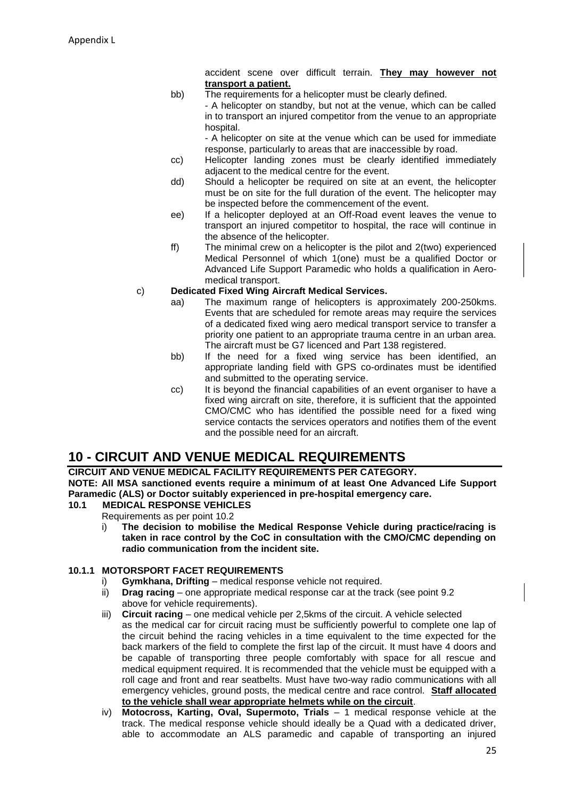accident scene over difficult terrain. **They may however not transport a patient.**

bb) The requirements for a helicopter must be clearly defined. - A helicopter on standby, but not at the venue, which can be called in to transport an injured competitor from the venue to an appropriate hospital.

- A helicopter on site at the venue which can be used for immediate response, particularly to areas that are inaccessible by road.

- cc) Helicopter landing zones must be clearly identified immediately adjacent to the medical centre for the event.
- dd) Should a helicopter be required on site at an event, the helicopter must be on site for the full duration of the event. The helicopter may be inspected before the commencement of the event.
- ee) If a helicopter deployed at an Off-Road event leaves the venue to transport an injured competitor to hospital, the race will continue in the absence of the helicopter.
- ff) The minimal crew on a helicopter is the pilot and 2(two) experienced Medical Personnel of which 1(one) must be a qualified Doctor or Advanced Life Support Paramedic who holds a qualification in Aeromedical transport.

#### c) **Dedicated Fixed Wing Aircraft Medical Services.**

- aa) The maximum range of helicopters is approximately 200-250kms. Events that are scheduled for remote areas may require the services of a dedicated fixed wing aero medical transport service to transfer a priority one patient to an appropriate trauma centre in an urban area. The aircraft must be G7 licenced and Part 138 registered.
- bb) If the need for a fixed wing service has been identified, an appropriate landing field with GPS co-ordinates must be identified and submitted to the operating service.
- cc) It is beyond the financial capabilities of an event organiser to have a fixed wing aircraft on site, therefore, it is sufficient that the appointed CMO/CMC who has identified the possible need for a fixed wing service contacts the services operators and notifies them of the event and the possible need for an aircraft.

# **10 - CIRCUIT AND VENUE MEDICAL REQUIREMENTS**

**CIRCUIT AND VENUE MEDICAL FACILITY REQUIREMENTS PER CATEGORY. NOTE: All MSA sanctioned events require a minimum of at least One Advanced Life Support Paramedic (ALS) or Doctor suitably experienced in pre-hospital emergency care.**

#### **10.1 MEDICAL RESPONSE VEHICLES**

Requirements as per point 10.2

i) **The decision to mobilise the Medical Response Vehicle during practice/racing is taken in race control by the CoC in consultation with the CMO/CMC depending on radio communication from the incident site.**

#### **10.1.1 MOTORSPORT FACET REQUIREMENTS**

- i) **Gymkhana, Drifting**  medical response vehicle not required.
- ii) **Drag racing** one appropriate medical response car at the track (see point 9.2) above for vehicle requirements).
- iii) **Circuit racing**  one medical vehicle per 2,5kms of the circuit. A vehicle selected as the medical car for circuit racing must be sufficiently powerful to complete one lap of the circuit behind the racing vehicles in a time equivalent to the time expected for the back markers of the field to complete the first lap of the circuit. It must have 4 doors and be capable of transporting three people comfortably with space for all rescue and medical equipment required. It is recommended that the vehicle must be equipped with a roll cage and front and rear seatbelts. Must have two-way radio communications with all emergency vehicles, ground posts, the medical centre and race control. **Staff allocated to the vehicle shall wear appropriate helmets while on the circuit**.
- iv) **Motocross, Karting, Oval, Supermoto, Trials**  1 medical response vehicle at the track. The medical response vehicle should ideally be a Quad with a dedicated driver, able to accommodate an ALS paramedic and capable of transporting an injured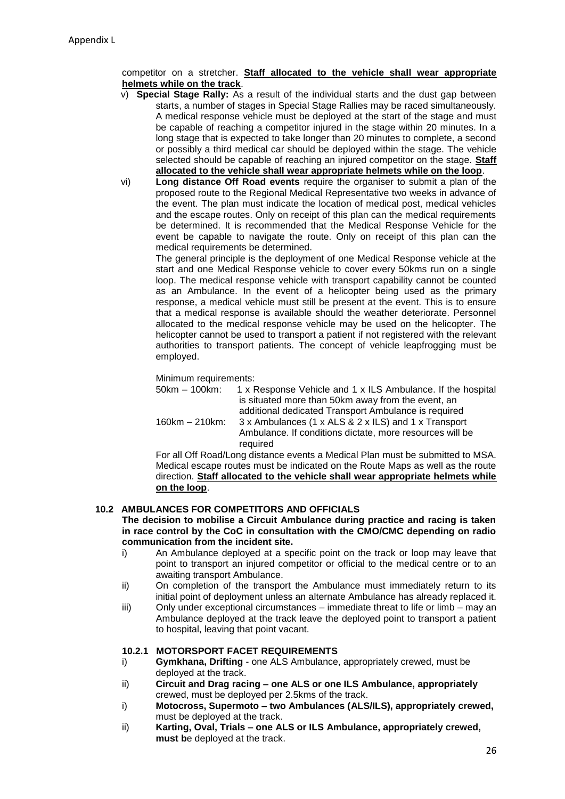competitor on a stretcher. **Staff allocated to the vehicle shall wear appropriate helmets while on the track**.

- v) **Special Stage Rally:** As a result of the individual starts and the dust gap between starts, a number of stages in Special Stage Rallies may be raced simultaneously. A medical response vehicle must be deployed at the start of the stage and must be capable of reaching a competitor injured in the stage within 20 minutes. In a long stage that is expected to take longer than 20 minutes to complete, a second or possibly a third medical car should be deployed within the stage. The vehicle selected should be capable of reaching an injured competitor on the stage. **Staff allocated to the vehicle shall wear appropriate helmets while on the loop**.
- vi) **Long distance Off Road events** require the organiser to submit a plan of the proposed route to the Regional Medical Representative two weeks in advance of the event. The plan must indicate the location of medical post, medical vehicles and the escape routes. Only on receipt of this plan can the medical requirements be determined. It is recommended that the Medical Response Vehicle for the event be capable to navigate the route. Only on receipt of this plan can the medical requirements be determined.

The general principle is the deployment of one Medical Response vehicle at the start and one Medical Response vehicle to cover every 50kms run on a single loop. The medical response vehicle with transport capability cannot be counted as an Ambulance. In the event of a helicopter being used as the primary response, a medical vehicle must still be present at the event. This is to ensure that a medical response is available should the weather deteriorate. Personnel allocated to the medical response vehicle may be used on the helicopter. The helicopter cannot be used to transport a patient if not registered with the relevant authorities to transport patients. The concept of vehicle leapfrogging must be employed.

Minimum requirements:

| 50km – 100km:  | 1 x Response Vehicle and 1 x ILS Ambulance. If the hospital<br>is situated more than 50km away from the event, an |
|----------------|-------------------------------------------------------------------------------------------------------------------|
|                | additional dedicated Transport Ambulance is required                                                              |
| 160km – 210km: | 3 x Ambulances (1 x ALS & 2 x ILS) and 1 x Transport                                                              |
|                | Ambulance. If conditions dictate, more resources will be                                                          |
|                | required                                                                                                          |
|                |                                                                                                                   |

For all Off Road/Long distance events a Medical Plan must be submitted to MSA. Medical escape routes must be indicated on the Route Maps as well as the route direction. **Staff allocated to the vehicle shall wear appropriate helmets while on the loop**.

#### **10.2 AMBULANCES FOR COMPETITORS AND OFFICIALS**

**The decision to mobilise a Circuit Ambulance during practice and racing is taken in race control by the CoC in consultation with the CMO/CMC depending on radio communication from the incident site.**

- i) An Ambulance deployed at a specific point on the track or loop may leave that point to transport an injured competitor or official to the medical centre or to an awaiting transport Ambulance.
- ii) On completion of the transport the Ambulance must immediately return to its initial point of deployment unless an alternate Ambulance has already replaced it.
- iii) Only under exceptional circumstances immediate threat to life or limb may an Ambulance deployed at the track leave the deployed point to transport a patient to hospital, leaving that point vacant.

#### **10.2.1 MOTORSPORT FACET REQUIREMENTS**

- i) **Gymkhana, Drifting**  one ALS Ambulance, appropriately crewed, must be deployed at the track.
- ii) **Circuit and Drag racing – one ALS or one ILS Ambulance, appropriately**  crewed, must be deployed per 2.5kms of the track.
- i) **Motocross, Supermoto – two Ambulances (ALS/ILS), appropriately crewed,** must be deployed at the track.
- ii) **Karting, Oval, Trials – one ALS or ILS Ambulance, appropriately crewed, must b**e deployed at the track.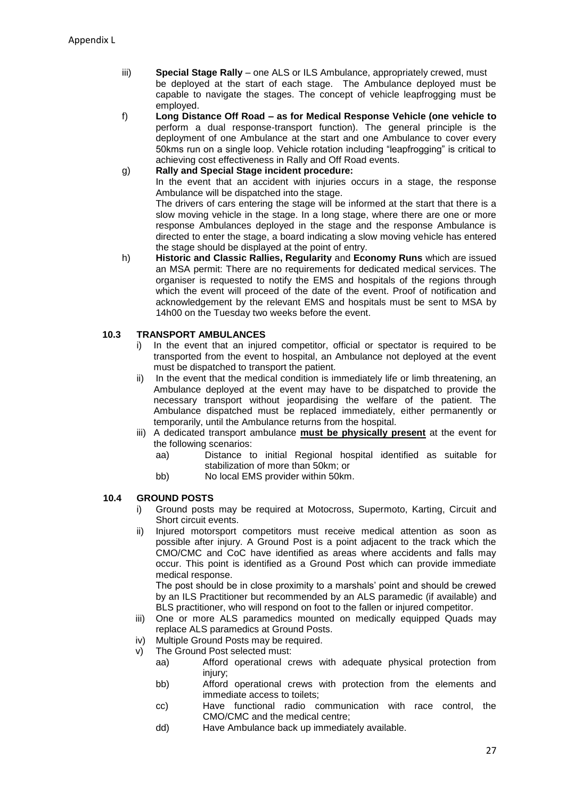- iii) **Special Stage Rally**  one ALS or ILS Ambulance, appropriately crewed, must be deployed at the start of each stage. The Ambulance deployed must be capable to navigate the stages. The concept of vehicle leapfrogging must be employed.
- f) **Long Distance Off Road – as for Medical Response Vehicle (one vehicle to** perform a dual response-transport function). The general principle is the deployment of one Ambulance at the start and one Ambulance to cover every 50kms run on a single loop. Vehicle rotation including "leapfrogging" is critical to achieving cost effectiveness in Rally and Off Road events.
- g) **Rally and Special Stage incident procedure:**

In the event that an accident with injuries occurs in a stage, the response Ambulance will be dispatched into the stage.

The drivers of cars entering the stage will be informed at the start that there is a slow moving vehicle in the stage. In a long stage, where there are one or more response Ambulances deployed in the stage and the response Ambulance is directed to enter the stage, a board indicating a slow moving vehicle has entered the stage should be displayed at the point of entry.

h) **Historic and Classic Rallies, Regularity** and **Economy Runs** which are issued an MSA permit: There are no requirements for dedicated medical services. The organiser is requested to notify the EMS and hospitals of the regions through which the event will proceed of the date of the event. Proof of notification and acknowledgement by the relevant EMS and hospitals must be sent to MSA by 14h00 on the Tuesday two weeks before the event.

#### **10.3 TRANSPORT AMBULANCES**

- i) In the event that an injured competitor, official or spectator is required to be transported from the event to hospital, an Ambulance not deployed at the event must be dispatched to transport the patient.
- ii) In the event that the medical condition is immediately life or limb threatening, an Ambulance deployed at the event may have to be dispatched to provide the necessary transport without jeopardising the welfare of the patient. The Ambulance dispatched must be replaced immediately, either permanently or temporarily, until the Ambulance returns from the hospital.
- iii) A dedicated transport ambulance **must be physically present** at the event for the following scenarios:
	- aa) Distance to initial Regional hospital identified as suitable for stabilization of more than 50km; or
	- bb) No local EMS provider within 50km.

#### **10.4 GROUND POSTS**

- i) Ground posts may be required at Motocross, Supermoto, Karting, Circuit and Short circuit events.
- ii) Injured motorsport competitors must receive medical attention as soon as possible after injury. A Ground Post is a point adjacent to the track which the CMO/CMC and CoC have identified as areas where accidents and falls may occur. This point is identified as a Ground Post which can provide immediate medical response.

The post should be in close proximity to a marshals' point and should be crewed by an ILS Practitioner but recommended by an ALS paramedic (if available) and BLS practitioner, who will respond on foot to the fallen or injured competitor.

- iii) One or more ALS paramedics mounted on medically equipped Quads may replace ALS paramedics at Ground Posts.
- iv) Multiple Ground Posts may be required.
- v) The Ground Post selected must:
	- aa) Afford operational crews with adequate physical protection from injury;
	- bb) Afford operational crews with protection from the elements and immediate access to toilets;
	- cc) Have functional radio communication with race control, the CMO/CMC and the medical centre;
	- dd) Have Ambulance back up immediately available.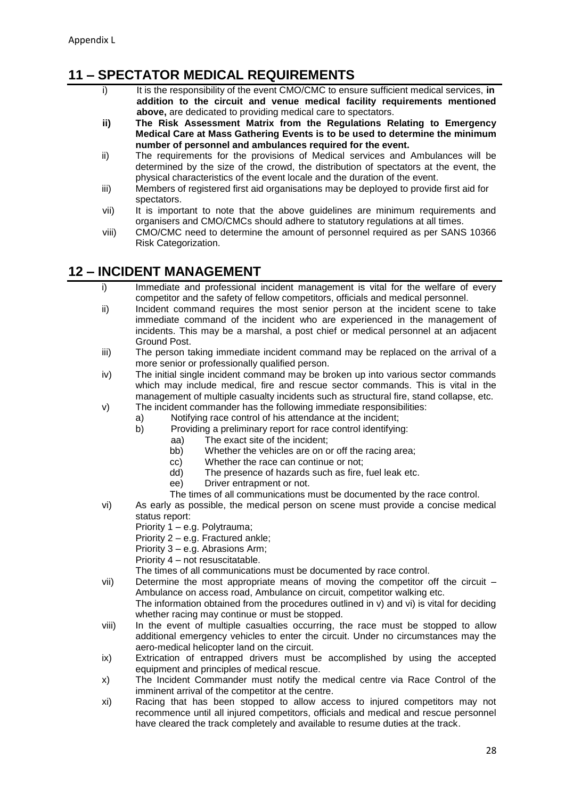# **11 – SPECTATOR MEDICAL REQUIREMENTS**

- i) It is the responsibility of the event CMO/CMC to ensure sufficient medical services, in **addition to the circuit and venue medical facility requirements mentioned above,** are dedicated to providing medical care to spectators.
- **ii) The Risk Assessment Matrix from the Regulations Relating to Emergency Medical Care at Mass Gathering Events is to be used to determine the minimum number of personnel and ambulances required for the event.**
- ii) The requirements for the provisions of Medical services and Ambulances will be determined by the size of the crowd, the distribution of spectators at the event, the physical characteristics of the event locale and the duration of the event.
- iii) Members of registered first aid organisations may be deployed to provide first aid for spectators.
- vii) It is important to note that the above guidelines are minimum requirements and organisers and CMO/CMCs should adhere to statutory regulations at all times.
- viii) CMO/CMC need to determine the amount of personnel required as per SANS 10366 Risk Categorization.

# **12 – INCIDENT MANAGEMENT**

- i) Immediate and professional incident management is vital for the welfare of every competitor and the safety of fellow competitors, officials and medical personnel.
- ii) Incident command requires the most senior person at the incident scene to take immediate command of the incident who are experienced in the management of incidents. This may be a marshal, a post chief or medical personnel at an adjacent Ground Post.
- iii) The person taking immediate incident command may be replaced on the arrival of a more senior or professionally qualified person.
- iv) The initial single incident command may be broken up into various sector commands which may include medical, fire and rescue sector commands. This is vital in the management of multiple casualty incidents such as structural fire, stand collapse, etc.
- v) The incident commander has the following immediate responsibilities:
	- a) Notifying race control of his attendance at the incident;
		- b) Providing a preliminary report for race control identifying:
			- aa) The exact site of the incident;
			- bb) Whether the vehicles are on or off the racing area;
			- cc) Whether the race can continue or not;
			- dd) The presence of hazards such as fire, fuel leak etc.
			- ee) Driver entrapment or not.
			- The times of all communications must be documented by the race control.
- vi) As early as possible, the medical person on scene must provide a concise medical status report:
	- Priority 1 e.g. Polytrauma;
	- Priority 2 e.g. Fractured ankle;
	- Priority 3 e.g. Abrasions Arm;
	- Priority 4 not resuscitatable.
	- The times of all communications must be documented by race control.
- vii) Determine the most appropriate means of moving the competitor off the circuit Ambulance on access road, Ambulance on circuit, competitor walking etc.
	- The information obtained from the procedures outlined in v) and vi) is vital for deciding whether racing may continue or must be stopped.
- viii) In the event of multiple casualties occurring, the race must be stopped to allow additional emergency vehicles to enter the circuit. Under no circumstances may the aero-medical helicopter land on the circuit.
- ix) Extrication of entrapped drivers must be accomplished by using the accepted equipment and principles of medical rescue.
- x) The Incident Commander must notify the medical centre via Race Control of the imminent arrival of the competitor at the centre.
- xi) Racing that has been stopped to allow access to injured competitors may not recommence until all injured competitors, officials and medical and rescue personnel have cleared the track completely and available to resume duties at the track.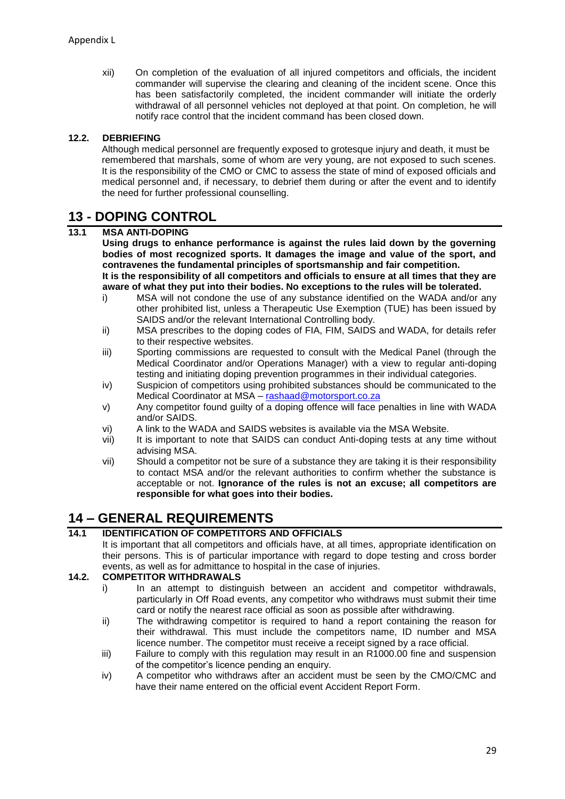xii) On completion of the evaluation of all injured competitors and officials, the incident commander will supervise the clearing and cleaning of the incident scene. Once this has been satisfactorily completed, the incident commander will initiate the orderly withdrawal of all personnel vehicles not deployed at that point. On completion, he will notify race control that the incident command has been closed down.

#### **12.2. DEBRIEFING**

Although medical personnel are frequently exposed to grotesque injury and death, it must be remembered that marshals, some of whom are very young, are not exposed to such scenes. It is the responsibility of the CMO or CMC to assess the state of mind of exposed officials and medical personnel and, if necessary, to debrief them during or after the event and to identify the need for further professional counselling.

### **13 - DOPING CONTROL**

#### **13.1 MSA ANTI-DOPING**

**Using drugs to enhance performance is against the rules laid down by the governing bodies of most recognized sports. It damages the image and value of the sport, and contravenes the fundamental principles of sportsmanship and fair competition. It is the responsibility of all competitors and officials to ensure at all times that they are** 

- **aware of what they put into their bodies. No exceptions to the rules will be tolerated.** i) MSA will not condone the use of any substance identified on the WADA and/or any other prohibited list, unless a Therapeutic Use Exemption (TUE) has been issued by
- SAIDS and/or the relevant International Controlling body. ii) MSA prescribes to the doping codes of FIA, FIM, SAIDS and WADA, for details refer to their respective websites.
- iii) Sporting commissions are requested to consult with the Medical Panel (through the Medical Coordinator and/or Operations Manager) with a view to regular anti-doping testing and initiating doping prevention programmes in their individual categories.
- iv) Suspicion of competitors using prohibited substances should be communicated to the Medical Coordinator at MSA – [rashaad@motorsport.co.za](mailto:rashaad@motorsport.co.za)
- v) Any competitor found guilty of a doping offence will face penalties in line with WADA and/or SAIDS.
- vi) A link to the WADA and SAIDS websites is available via the MSA Website.
- vii) It is important to note that SAIDS can conduct Anti-doping tests at any time without advising MSA.
- vii) Should a competitor not be sure of a substance they are taking it is their responsibility to contact MSA and/or the relevant authorities to confirm whether the substance is acceptable or not. **Ignorance of the rules is not an excuse; all competitors are responsible for what goes into their bodies.**

### **14 – GENERAL REQUIREMENTS**

#### **14.1 IDENTIFICATION OF COMPETITORS AND OFFICIALS**

It is important that all competitors and officials have, at all times, appropriate identification on their persons. This is of particular importance with regard to dope testing and cross border events, as well as for admittance to hospital in the case of injuries.

#### **14.2. COMPETITOR WITHDRAWALS**

- i) In an attempt to distinguish between an accident and competitor withdrawals, particularly in Off Road events, any competitor who withdraws must submit their time card or notify the nearest race official as soon as possible after withdrawing.
- ii) The withdrawing competitor is required to hand a report containing the reason for their withdrawal. This must include the competitors name, ID number and MSA licence number. The competitor must receive a receipt signed by a race official.
- iii) Failure to comply with this regulation may result in an R1000.00 fine and suspension of the competitor's licence pending an enquiry.
- iv) A competitor who withdraws after an accident must be seen by the CMO/CMC and have their name entered on the official event Accident Report Form.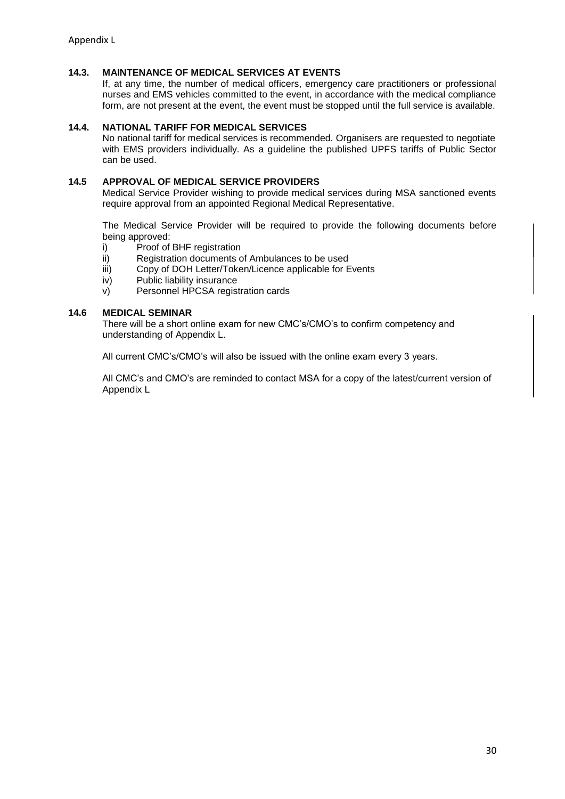#### **14.3. MAINTENANCE OF MEDICAL SERVICES AT EVENTS**

If, at any time, the number of medical officers, emergency care practitioners or professional nurses and EMS vehicles committed to the event, in accordance with the medical compliance form, are not present at the event, the event must be stopped until the full service is available.

#### **14.4. NATIONAL TARIFF FOR MEDICAL SERVICES**

No national tariff for medical services is recommended. Organisers are requested to negotiate with EMS providers individually. As a guideline the published UPFS tariffs of Public Sector can be used.

#### **14.5 APPROVAL OF MEDICAL SERVICE PROVIDERS**

Medical Service Provider wishing to provide medical services during MSA sanctioned events require approval from an appointed Regional Medical Representative.

The Medical Service Provider will be required to provide the following documents before being approved:

- i) Proof of BHF registration
- ii) Registration documents of Ambulances to be used
- iii) Copy of DOH Letter/Token/Licence applicable for Events
- iv) Public liability insurance
- v) Personnel HPCSA registration cards

#### **14.6 MEDICAL SEMINAR**

There will be a short online exam for new CMC's/CMO's to confirm competency and understanding of Appendix L.

All current CMC's/CMO's will also be issued with the online exam every 3 years.

All CMC's and CMO's are reminded to contact MSA for a copy of the latest/current version of Appendix L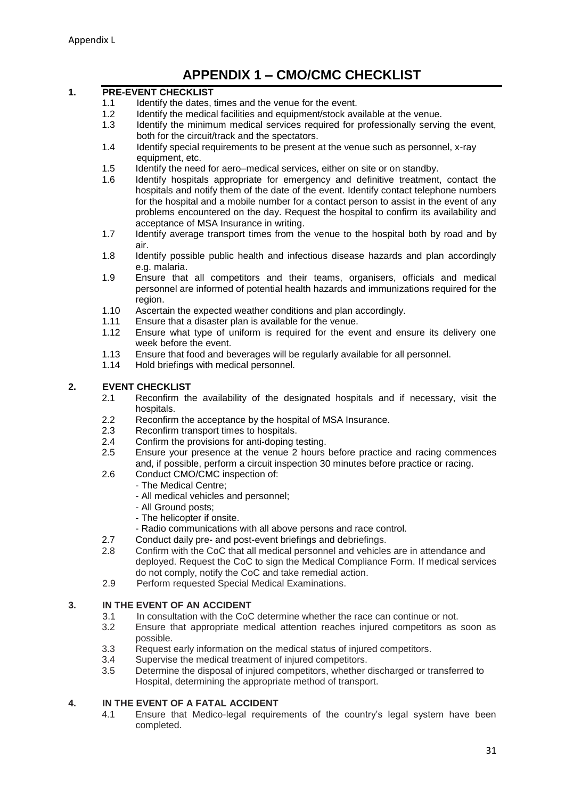# **APPENDIX 1 – CMO/CMC CHECKLIST**

#### **1. PRE-EVENT CHECKLIST**

- 1.1 Identify the dates, times and the venue for the event.
- 1.2 Identify the medical facilities and equipment/stock available at the venue.
- 1.3 Identify the minimum medical services required for professionally serving the event, both for the circuit/track and the spectators.
- 1.4 Identify special requirements to be present at the venue such as personnel, x-ray equipment, etc.
- 1.5 Identify the need for aero–medical services, either on site or on standby.
- 1.6 Identify hospitals appropriate for emergency and definitive treatment, contact the hospitals and notify them of the date of the event. Identify contact telephone numbers for the hospital and a mobile number for a contact person to assist in the event of any problems encountered on the day. Request the hospital to confirm its availability and acceptance of MSA Insurance in writing.
- 1.7 Identify average transport times from the venue to the hospital both by road and by air.
- 1.8 Identify possible public health and infectious disease hazards and plan accordingly e.g. malaria.
- 1.9 Ensure that all competitors and their teams, organisers, officials and medical personnel are informed of potential health hazards and immunizations required for the region.
- 1.10 Ascertain the expected weather conditions and plan accordingly.
- 1.11 Ensure that a disaster plan is available for the venue.
- 1.12 Ensure what type of uniform is required for the event and ensure its delivery one week before the event.
- 1.13 Ensure that food and beverages will be regularly available for all personnel.
- 1.14 Hold briefings with medical personnel.

#### **2. EVENT CHECKLIST**

- 2.1 Reconfirm the availability of the designated hospitals and if necessary, visit the hospitals.
- 2.2 Reconfirm the acceptance by the hospital of MSA Insurance.<br>2.3 Reconfirm transport times to hospitals.
- 2.3 Reconfirm transport times to hospitals.<br>2.4 Confirm the provisions for anti-doping t
- Confirm the provisions for anti-doping testing.
- 2.5 Ensure your presence at the venue 2 hours before practice and racing commences and, if possible, perform a circuit inspection 30 minutes before practice or racing.
- 2.6 Conduct CMO/CMC inspection of:
	- The Medical Centre;
	- All medical vehicles and personnel;
	- All Ground posts;
	- The helicopter if onsite.
	- Radio communications with all above persons and race control.
- 2.7 Conduct daily pre- and post-event briefings and debriefings.
- 2.8 Confirm with the CoC that all medical personnel and vehicles are in attendance and deployed. Request the CoC to sign the Medical Compliance Form. If medical services do not comply, notify the CoC and take remedial action.
- 2.9 Perform requested Special Medical Examinations.

#### **3. IN THE EVENT OF AN ACCIDENT**

- 3.1 In consultation with the CoC determine whether the race can continue or not.
- 3.2 Ensure that appropriate medical attention reaches injured competitors as soon as possible.
- 3.3 Request early information on the medical status of injured competitors.<br>3.4 Supervise the medical treatment of injured competitors.
- 3.4 Supervise the medical treatment of injured competitors.<br>3.5 Determine the disposal of injured competitors, whether
- Determine the disposal of injured competitors, whether discharged or transferred to Hospital, determining the appropriate method of transport.

#### **4. IN THE EVENT OF A FATAL ACCIDENT**

4.1 Ensure that Medico-legal requirements of the country's legal system have been completed.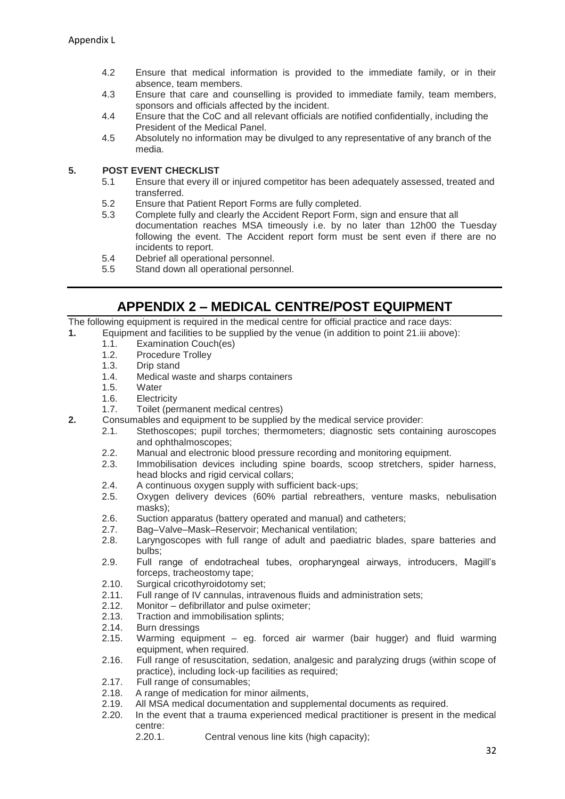- 4.2 Ensure that medical information is provided to the immediate family, or in their absence, team members.
- 4.3 Ensure that care and counselling is provided to immediate family, team members, sponsors and officials affected by the incident.
- 4.4 Ensure that the CoC and all relevant officials are notified confidentially, including the President of the Medical Panel.
- 4.5 Absolutely no information may be divulged to any representative of any branch of the media.

#### **5. POST EVENT CHECKLIST**

- 5.1 Ensure that every ill or injured competitor has been adequately assessed, treated and transferred.
- 5.2 Ensure that Patient Report Forms are fully completed.
- 5.3 Complete fully and clearly the Accident Report Form, sign and ensure that all documentation reaches MSA timeously i.e. by no later than 12h00 the Tuesday following the event. The Accident report form must be sent even if there are no incidents to report.
- 5.4 Debrief all operational personnel.
- 5.5 Stand down all operational personnel.

### **APPENDIX 2 – MEDICAL CENTRE/POST EQUIPMENT**

The following equipment is required in the medical centre for official practice and race days:

- **1.** Equipment and facilities to be supplied by the venue (in addition to point 21.iii above):
	- 1.1. Examination Couch(es)
	- 1.2. Procedure Trolley
	- 1.3. Drip stand
	- 1.4. Medical waste and sharps containers
	- 1.5. Water
	- 1.6. Electricity
	- 1.7. Toilet (permanent medical centres)
- **2.** Consumables and equipment to be supplied by the medical service provider:
	- 2.1. Stethoscopes; pupil torches; thermometers; diagnostic sets containing auroscopes and ophthalmoscopes;
	- 2.2. Manual and electronic blood pressure recording and monitoring equipment.
	- 2.3. Immobilisation devices including spine boards, scoop stretchers, spider harness, head blocks and rigid cervical collars;
	- 2.4. A continuous oxygen supply with sufficient back-ups;
	- 2.5. Oxygen delivery devices (60% partial rebreathers, venture masks, nebulisation masks);
	- 2.6. Suction apparatus (battery operated and manual) and catheters;
	- 2.7. Bag–Valve–Mask–Reservoir; Mechanical ventilation;
	- 2.8. Laryngoscopes with full range of adult and paediatric blades, spare batteries and bulbs;
	- 2.9. Full range of endotracheal tubes, oropharyngeal airways, introducers, Magill's forceps, tracheostomy tape;
	- 2.10. Surgical cricothyroidotomy set;
	- 2.11. Full range of IV cannulas, intravenous fluids and administration sets;
	- 2.12. Monitor defibrillator and pulse oximeter;
	- 2.13. Traction and immobilisation splints;
	- 2.14. Burn dressings
	- 2.15. Warming equipment eg. forced air warmer (bair hugger) and fluid warming equipment, when required.
	- 2.16. Full range of resuscitation, sedation, analgesic and paralyzing drugs (within scope of practice), including lock-up facilities as required;
	- 2.17. Full range of consumables;
	- 2.18. A range of medication for minor ailments.
	- 2.19. All MSA medical documentation and supplemental documents as required.
	- 2.20. In the event that a trauma experienced medical practitioner is present in the medical centre:
		- 2.20.1. Central venous line kits (high capacity);